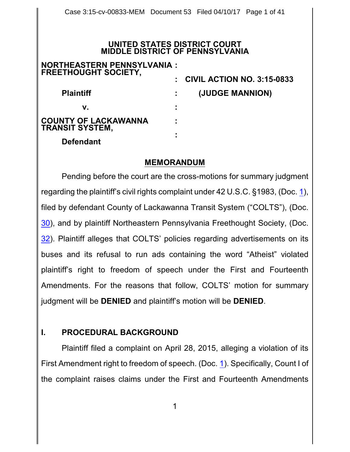#### **UNITED STATES DISTRICT COURT MIDDLE DISTRICT OF PENNSYLVANIA**

| <b>NORTHEASTERN PENNSYLVANIA:</b><br><b>FREETHOUGHT SOCIETY,</b> |   |                                         |
|------------------------------------------------------------------|---|-----------------------------------------|
|                                                                  |   | $\therefore$ CIVIL ACTION NO. 3:15-0833 |
| <b>Plaintiff</b>                                                 |   | (JUDGE MANNION)                         |
| v.                                                               | ÷ |                                         |
| <b>COUNTY OF LACKAWANNA</b><br><b>TRANSIT SYSTEM,</b>            | ٠ |                                         |
| <b>Defendant</b>                                                 | ٠ |                                         |

#### **MEMORANDUM**

Pending before the court are the cross-motions for summary judgment regarding the plaintiff's civil rights complaint under 42 U.S.C. §1983, (Doc. [1](http://ecf.pamd.uscourts.gov/doc1/15505054481)), filed by defendant County of Lackawanna Transit System ("COLTS"), (Doc. [30](http://ecf.pamd.uscourts.gov/doc1/15505557490)), and by plaintiff Northeastern Pennsylvania Freethought Society, (Doc. [32](http://ecf.pamd.uscourts.gov/doc1/15505558170)). Plaintiff alleges that COLTS' policies regarding advertisements on its buses and its refusal to run ads containing the word "Atheist" violated plaintiff's right to freedom of speech under the First and Fourteenth Amendments. For the reasons that follow, COLTS' motion for summary judgment will be **DENIED** and plaintiff's motion will be **DENIED**.

# **I. PROCEDURAL BACKGROUND**

Plaintiff filed a complaint on April 28, 2015, alleging a violation of its First Amendment right to freedom of speech. (Doc. [1](http://ecf.pamd.uscourts.gov/doc1/15505054481)). Specifically, Count I of the complaint raises claims under the First and Fourteenth Amendments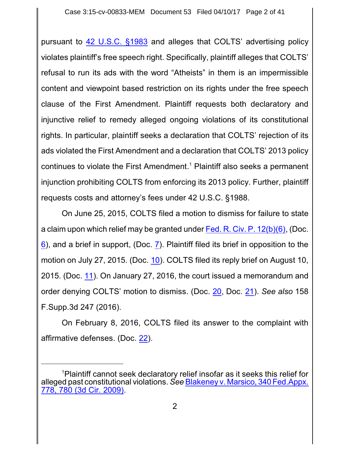pursuant to [42 U.S.C.](https://www.westlaw.com/Document/NDFE80F60AFF711D8803AE0632FEDDFBF/View/FullText.html?transitionType=Default&contextData=(sc.Default)&VR=3.0&RS=da3.0) §1983 and alleges that COLTS' advertising policy violates plaintiff's free speech right. Specifically, plaintiff alleges that COLTS' refusal to run its ads with the word "Atheists" in them is an impermissible content and viewpoint based restriction on its rights under the free speech clause of the First Amendment. Plaintiff requests both declaratory and injunctive relief to remedy alleged ongoing violations of its constitutional rights. In particular, plaintiff seeks a declaration that COLTS' rejection of its ads violated the First Amendment and a declaration that COLTS' 2013 policy continues to violate the First Amendment. <sup>1</sup> Plaintiff also seeks a permanent injunction prohibiting COLTS from enforcing its 2013 policy. Further, plaintiff requests costs and attorney's fees under 42 U.S.C. §1988.

On June 25, 2015, COLTS filed a motion to dismiss for failure to state a claim upon which relief may be granted under Fed. R. Civ. P. [12\(b\)\(6\)](http://westlaw.com/find/default.wl?ft=L&docname=USFRCPR12&rs=btil2.0&rp=%2ffind%2fdefault.wl&fn=_top&findtype=L&vr=2.0&db=1000600&wbtoolsId=USFRCPR12&HistoryType=F), (Doc. [6](http://ecf.pamd.uscourts.gov/doc1/15505119436)), and a brief in support, (Doc. [7](http://ecf.pamd.uscourts.gov/doc1/15505119457)). Plaintiff filed its brief in opposition to the motion on July 27, 2015. (Doc. [10](http://ecf.pamd.uscourts.gov/doc1/15505151912)). COLTS filed its reply brief on August 10, 2015. (Doc. [11](http://ecf.pamd.uscourts.gov/doc1/15505166282)). On January 27, 2016, the court issued a memorandum and order denying COLTS' motion to dismiss. (Doc. [20](http://ecf.pamd.uscourts.gov/doc1/15505356200), Doc. [21](http://ecf.pamd.uscourts.gov/doc1/15505356206)). *See also* 158 F.Supp.3d 247 (2016).

On February 8, 2016, COLTS filed its answer to the complaint with affirmative defenses. (Doc. [22](http://ecf.pamd.uscourts.gov/doc1/15505369020)).

<sup>1</sup>Plaintiff cannot seek declaratory relief insofar as it seeks this relief for alleged past constitutional violations. *See* Blakeney v. [Marsico, 340](https://www.westlaw.com/Document/I0f51d5ca872311deabded03f2b83b8a4/View/FullText.html?transitionType=Default&contextData=(sc.Default)&VR=3.0&RS=da3.0&fragmentIdentifier=co_pp_sp_6538_780) Fed.Appx. 778, [780 \(3d Cir.](https://www.westlaw.com/Document/I0f51d5ca872311deabded03f2b83b8a4/View/FullText.html?transitionType=Default&contextData=(sc.Default)&VR=3.0&RS=da3.0&fragmentIdentifier=co_pp_sp_6538_780) 2009).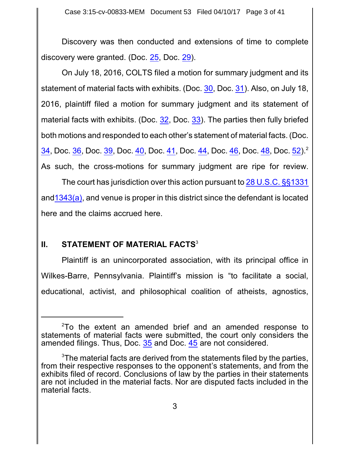Discovery was then conducted and extensions of time to complete discovery were granted. (Doc. [25](http://ecf.pamd.uscourts.gov/doc1/15505442994), Doc. [29](http://ecf.pamd.uscourts.gov/doc1/15505502550)).

On July 18, 2016, COLTS filed a motion for summary judgment and its statement of material facts with exhibits. (Doc. [30](http://ecf.pamd.uscourts.gov/doc1/15505557490), Doc. [31](http://ecf.pamd.uscourts.gov/doc1/15505557512)). Also, on July 18, 2016, plaintiff filed a motion for summary judgment and its statement of material facts with exhibits. (Doc. [32](http://ecf.pamd.uscourts.gov/doc1/15505558170), Doc. [33](http://ecf.pamd.uscourts.gov/doc1/15505558178)). The parties then fully briefed both motions and responded to each other's statement of material facts. (Doc. [34](http://ecf.pamd.uscourts.gov/doc1/15505575357), Doc. [36](http://ecf.pamd.uscourts.gov/doc1/15505575630), Doc. [39](http://ecf.pamd.uscourts.gov/doc1/15505614571), Doc. [40](http://ecf.pamd.uscourts.gov/doc1/15505615164), Doc. [41](http://ecf.pamd.uscourts.gov/doc1/15505615170), Doc. [44](http://ecf.pamd.uscourts.gov/doc1/15505628294), Doc. [46](http://ecf.pamd.uscourts.gov/doc1/15505630113), Doc. [48](http://ecf.pamd.uscourts.gov/doc1/15505630242), Doc. [52](http://ecf.pamd.uscourts.gov/doc1/15505666059)).<sup>2</sup> As such, the cross-motions for summary judgment are ripe for review.

The court has jurisdiction over this action pursuant to [28 U.S.C.](https://www.westlaw.com/Document/NCC2763E0A35911D88B25BBE406C5D950/View/FullText.html?transitionType=Default&contextData=(sc.Default)&VR=3.0&RS=da3.0) §§1331 and  $1343(a)$ , and venue is proper in this district since the defendant is located here and the claims accrued here.

# **II. STATEMENT OF MATERIAL FACTS<sup>3</sup>**

Plaintiff is an unincorporated association, with its principal office in Wilkes-Barre, Pennsylvania. Plaintiff's mission is "to facilitate a social, educational, activist, and philosophical coalition of atheists, agnostics,

<sup>&</sup>lt;sup>2</sup>To the extent an amended brief and an amended response to statements of material facts were submitted, the court only considers the amended filings. Thus, Doc. [35](http://ecf.pamd.uscourts.gov/doc1/15505575392) and Doc. [45](http://ecf.pamd.uscourts.gov/doc1/15505629576) are not considered.

 $3$ The material facts are derived from the statements filed by the parties, from their respective responses to the opponent's statements, and from the exhibits filed of record. Conclusions of law by the parties in their statements are not included in the material facts. Nor are disputed facts included in the material facts.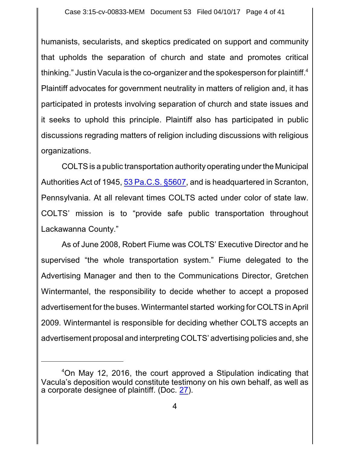humanists, secularists, and skeptics predicated on support and community that upholds the separation of church and state and promotes critical thinking." Justin Vacula is the co-organizer and the spokesperson for plaintiff. 4 Plaintiff advocates for government neutrality in matters of religion and, it has participated in protests involving separation of church and state issues and it seeks to uphold this principle. Plaintiff also has participated in public discussions regrading matters of religion including discussions with religious organizations.

COLTS is a public transportation authority operating under the Municipal Authorities Act of 1945, [53 Pa.C.S.](https://www.westlaw.com/Document/N8D563CA0115C11E48A50879307049736/View/FullText.html?transitionType=Default&contextData=(sc.Default)&VR=3.0&RS=da3.0) §5607, and is headquartered in Scranton, Pennsylvania. At all relevant times COLTS acted under color of state law. COLTS' mission is to "provide safe public transportation throughout Lackawanna County."

As of June 2008, Robert Fiume was COLTS' Executive Director and he supervised "the whole transportation system." Fiume delegated to the Advertising Manager and then to the Communications Director, Gretchen Wintermantel, the responsibility to decide whether to accept a proposed advertisement for the buses. Wintermantel started working for COLTS in April 2009. Wintermantel is responsible for deciding whether COLTS accepts an advertisement proposal and interpreting COLTS' advertising policies and, she

<sup>4</sup>On May 12, 2016, the court approved a Stipulation indicating that Vacula's deposition would constitute testimony on his own behalf, as well as a corporate designee of plaintiff. (Doc. [27](http://ecf.pamd.uscourts.gov/doc1/15505480245)).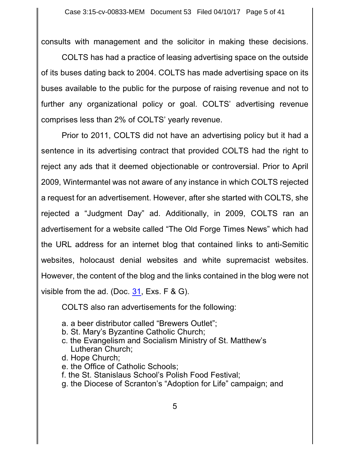consults with management and the solicitor in making these decisions.

COLTS has had a practice of leasing advertising space on the outside of its buses dating back to 2004. COLTS has made advertising space on its buses available to the public for the purpose of raising revenue and not to further any organizational policy or goal. COLTS' advertising revenue comprises less than 2% of COLTS' yearly revenue.

Prior to 2011, COLTS did not have an advertising policy but it had a sentence in its advertising contract that provided COLTS had the right to reject any ads that it deemed objectionable or controversial. Prior to April 2009, Wintermantel was not aware of any instance in which COLTS rejected a request for an advertisement. However, after she started with COLTS, she rejected a "Judgment Day" ad. Additionally, in 2009, COLTS ran an advertisement for a website called "The Old Forge Times News" which had the URL address for an internet blog that contained links to anti-Semitic websites, holocaust denial websites and white supremacist websites. However, the content of the blog and the links contained in the blog were not visible from the ad. (Doc. [31](http://ecf.pamd.uscourts.gov/doc1/15505557512), Exs. F & G).

COLTS also ran advertisements for the following:

- a. a beer distributor called "Brewers Outlet";
- b. St. Mary's Byzantine Catholic Church;
- c. the Evangelism and Socialism Ministry of St. Matthew's Lutheran Church;
- d. Hope Church;
- e. the Office of Catholic Schools;
- f. the St. Stanislaus School's Polish Food Festival;
- g. the Diocese of Scranton's "Adoption for Life" campaign; and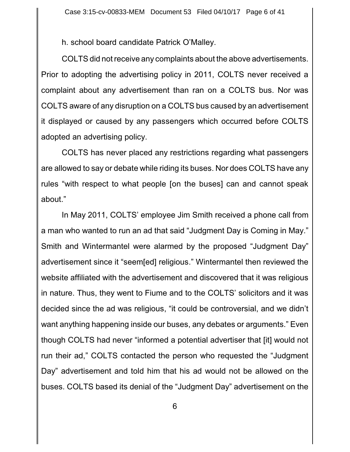h. school board candidate Patrick O'Malley.

COLTS did not receive any complaints about the above advertisements. Prior to adopting the advertising policy in 2011, COLTS never received a complaint about any advertisement than ran on a COLTS bus. Nor was COLTS aware of any disruption on a COLTS bus caused by an advertisement it displayed or caused by any passengers which occurred before COLTS adopted an advertising policy.

COLTS has never placed any restrictions regarding what passengers are allowed to say or debate while riding its buses. Nor does COLTS have any rules "with respect to what people [on the buses] can and cannot speak about."

In May 2011, COLTS' employee Jim Smith received a phone call from a man who wanted to run an ad that said "Judgment Day is Coming in May." Smith and Wintermantel were alarmed by the proposed "Judgment Day" advertisement since it "seem[ed] religious." Wintermantel then reviewed the website affiliated with the advertisement and discovered that it was religious in nature. Thus, they went to Fiume and to the COLTS' solicitors and it was decided since the ad was religious, "it could be controversial, and we didn't want anything happening inside our buses, any debates or arguments." Even though COLTS had never "informed a potential advertiser that [it] would not run their ad," COLTS contacted the person who requested the "Judgment Day" advertisement and told him that his ad would not be allowed on the buses. COLTS based its denial of the "Judgment Day" advertisement on the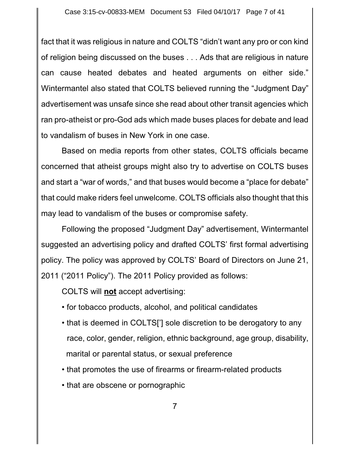fact that it was religious in nature and COLTS "didn't want any pro or con kind of religion being discussed on the buses . . . Ads that are religious in nature can cause heated debates and heated arguments on either side." Wintermantel also stated that COLTS believed running the "Judgment Day" advertisement was unsafe since she read about other transit agencies which ran pro-atheist or pro-God ads which made buses places for debate and lead to vandalism of buses in New York in one case.

Based on media reports from other states, COLTS officials became concerned that atheist groups might also try to advertise on COLTS buses and start a "war of words," and that buses would become a "place for debate" that could make riders feel unwelcome. COLTS officials also thought that this may lead to vandalism of the buses or compromise safety.

Following the proposed "Judgment Day" advertisement, Wintermantel suggested an advertising policy and drafted COLTS' first formal advertising policy. The policy was approved by COLTS' Board of Directors on June 21, 2011 ("2011 Policy"). The 2011 Policy provided as follows:

COLTS will **not** accept advertising:

- for tobacco products, alcohol, and political candidates
- that is deemed in COLTS['] sole discretion to be derogatory to any race, color, gender, religion, ethnic background, age group, disability, marital or parental status, or sexual preference
- that promotes the use of firearms or firearm-related products
- that are obscene or pornographic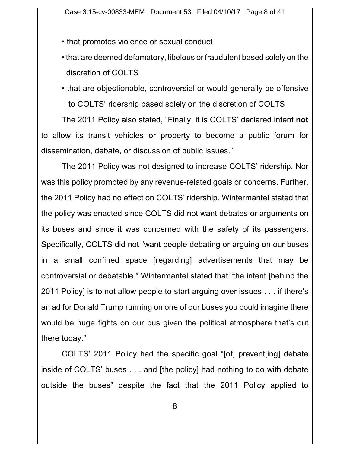- that promotes violence or sexual conduct
- that are deemed defamatory, libelous or fraudulent based solely on the discretion of COLTS
- that are objectionable, controversial or would generally be offensive to COLTS' ridership based solely on the discretion of COLTS

The 2011 Policy also stated, "Finally, it is COLTS' declared intent **not** to allow its transit vehicles or property to become a public forum for dissemination, debate, or discussion of public issues."

The 2011 Policy was not designed to increase COLTS' ridership. Nor was this policy prompted by any revenue-related goals or concerns. Further, the 2011 Policy had no effect on COLTS' ridership. Wintermantel stated that the policy was enacted since COLTS did not want debates or arguments on its buses and since it was concerned with the safety of its passengers. Specifically, COLTS did not "want people debating or arguing on our buses in a small confined space [regarding] advertisements that may be controversial or debatable." Wintermantel stated that "the intent [behind the 2011 Policy] is to not allow people to start arguing over issues . . . if there's an ad for Donald Trump running on one of our buses you could imagine there would be huge fights on our bus given the political atmosphere that's out there today."

COLTS' 2011 Policy had the specific goal "[of] prevent[ing] debate inside of COLTS' buses . . . and [the policy] had nothing to do with debate outside the buses" despite the fact that the 2011 Policy applied to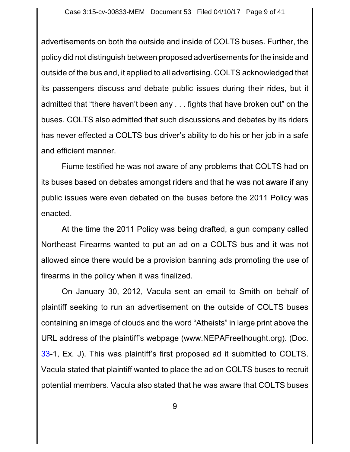advertisements on both the outside and inside of COLTS buses. Further, the policy did not distinguish between proposed advertisements for the inside and outside of the bus and, it applied to all advertising. COLTS acknowledged that its passengers discuss and debate public issues during their rides, but it admitted that "there haven't been any . . . fights that have broken out" on the buses. COLTS also admitted that such discussions and debates by its riders has never effected a COLTS bus driver's ability to do his or her job in a safe and efficient manner.

Fiume testified he was not aware of any problems that COLTS had on its buses based on debates amongst riders and that he was not aware if any public issues were even debated on the buses before the 2011 Policy was enacted.

At the time the 2011 Policy was being drafted, a gun company called Northeast Firearms wanted to put an ad on a COLTS bus and it was not allowed since there would be a provision banning ads promoting the use of firearms in the policy when it was finalized.

On January 30, 2012, Vacula sent an email to Smith on behalf of plaintiff seeking to run an advertisement on the outside of COLTS buses containing an image of clouds and the word "Atheists" in large print above the URL address of the plaintiff's webpage (www.NEPAFreethought.org). (Doc. [33](http://ecf.pamd.uscourts.gov/doc1/15505558178)-1, Ex. J). This was plaintiff's first proposed ad it submitted to COLTS. Vacula stated that plaintiff wanted to place the ad on COLTS buses to recruit potential members. Vacula also stated that he was aware that COLTS buses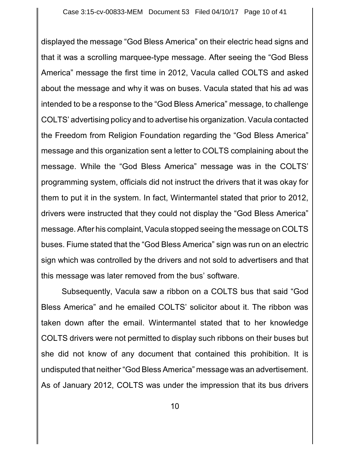displayed the message "God Bless America" on their electric head signs and that it was a scrolling marquee-type message. After seeing the "God Bless America" message the first time in 2012, Vacula called COLTS and asked about the message and why it was on buses. Vacula stated that his ad was intended to be a response to the "God Bless America" message, to challenge COLTS' advertising policy and to advertise his organization. Vacula contacted the Freedom from Religion Foundation regarding the "God Bless America" message and this organization sent a letter to COLTS complaining about the message. While the "God Bless America" message was in the COLTS' programming system, officials did not instruct the drivers that it was okay for them to put it in the system. In fact, Wintermantel stated that prior to 2012, drivers were instructed that they could not display the "God Bless America" message. After his complaint, Vacula stopped seeing the message on COLTS buses. Fiume stated that the "God Bless America" sign was run on an electric sign which was controlled by the drivers and not sold to advertisers and that this message was later removed from the bus' software.

Subsequently, Vacula saw a ribbon on a COLTS bus that said "God Bless America" and he emailed COLTS' solicitor about it. The ribbon was taken down after the email. Wintermantel stated that to her knowledge COLTS drivers were not permitted to display such ribbons on their buses but she did not know of any document that contained this prohibition. It is undisputed that neither "God Bless America" message was an advertisement. As of January 2012, COLTS was under the impression that its bus drivers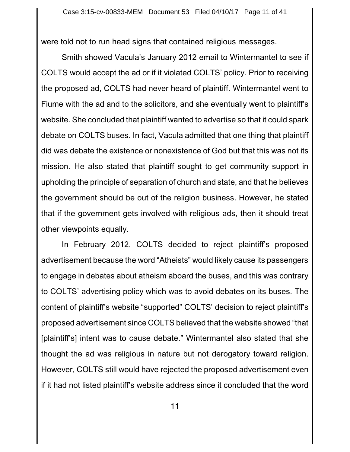were told not to run head signs that contained religious messages.

Smith showed Vacula's January 2012 email to Wintermantel to see if COLTS would accept the ad or if it violated COLTS' policy. Prior to receiving the proposed ad, COLTS had never heard of plaintiff. Wintermantel went to Fiume with the ad and to the solicitors, and she eventually went to plaintiff's website. She concluded that plaintiff wanted to advertise so that it could spark debate on COLTS buses. In fact, Vacula admitted that one thing that plaintiff did was debate the existence or nonexistence of God but that this was not its mission. He also stated that plaintiff sought to get community support in upholding the principle of separation of church and state, and that he believes the government should be out of the religion business. However, he stated that if the government gets involved with religious ads, then it should treat other viewpoints equally.

In February 2012, COLTS decided to reject plaintiff's proposed advertisement because the word "Atheists" would likely cause its passengers to engage in debates about atheism aboard the buses, and this was contrary to COLTS' advertising policy which was to avoid debates on its buses. The content of plaintiff's website "supported" COLTS' decision to reject plaintiff's proposed advertisement since COLTS believed that the website showed "that [plaintiff's] intent was to cause debate." Wintermantel also stated that she thought the ad was religious in nature but not derogatory toward religion. However, COLTS still would have rejected the proposed advertisement even if it had not listed plaintiff's website address since it concluded that the word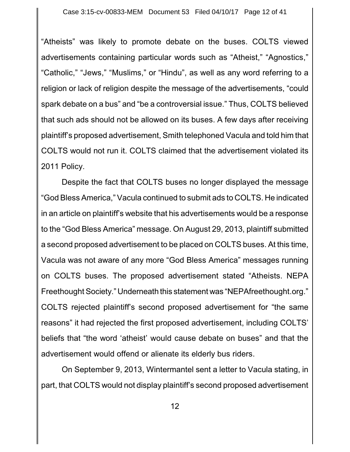"Atheists" was likely to promote debate on the buses. COLTS viewed advertisements containing particular words such as "Atheist," "Agnostics," "Catholic," "Jews," "Muslims," or "Hindu", as well as any word referring to a religion or lack of religion despite the message of the advertisements, "could spark debate on a bus" and "be a controversial issue." Thus, COLTS believed that such ads should not be allowed on its buses. A few days after receiving plaintiff's proposed advertisement, Smith telephoned Vacula and told him that COLTS would not run it. COLTS claimed that the advertisement violated its 2011 Policy.

Despite the fact that COLTS buses no longer displayed the message "God Bless America," Vacula continued to submit ads to COLTS. He indicated in an article on plaintiff's website that his advertisements would be a response to the "God Bless America" message. On August 29, 2013, plaintiff submitted a second proposed advertisement to be placed on COLTS buses. At this time, Vacula was not aware of any more "God Bless America" messages running on COLTS buses. The proposed advertisement stated "Atheists. NEPA Freethought Society." Underneath this statement was "NEPAfreethought.org." COLTS rejected plaintiff's second proposed advertisement for "the same reasons" it had rejected the first proposed advertisement, including COLTS' beliefs that "the word 'atheist' would cause debate on buses" and that the advertisement would offend or alienate its elderly bus riders.

On September 9, 2013, Wintermantel sent a letter to Vacula stating, in part, that COLTS would not display plaintiff's second proposed advertisement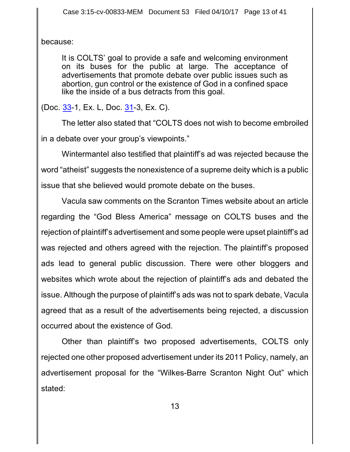because:

It is COLTS' goal to provide a safe and welcoming environment on its buses for the public at large. The acceptance of advertisements that promote debate over public issues such as abortion, gun control or the existence of God in a confined space like the inside of a bus detracts from this goal.

(Doc. [33](http://ecf.pamd.uscourts.gov/doc1/15505558178)-1, Ex. L, Doc. [31](http://ecf.pamd.uscourts.gov/doc1/15505557512)-3, Ex. C).

The letter also stated that "COLTS does not wish to become embroiled in a debate over your group's viewpoints."

Wintermantel also testified that plaintiff's ad was rejected because the word "atheist" suggests the nonexistence of a supreme deity which is a public issue that she believed would promote debate on the buses.

Vacula saw comments on the Scranton Times website about an article regarding the "God Bless America" message on COLTS buses and the rejection of plaintiff's advertisement and some people were upset plaintiff's ad was rejected and others agreed with the rejection. The plaintiff's proposed ads lead to general public discussion. There were other bloggers and websites which wrote about the rejection of plaintiff's ads and debated the issue. Although the purpose of plaintiff's ads was not to spark debate, Vacula agreed that as a result of the advertisements being rejected, a discussion occurred about the existence of God.

Other than plaintiff's two proposed advertisements, COLTS only rejected one other proposed advertisement under its 2011 Policy, namely, an advertisement proposal for the "Wilkes-Barre Scranton Night Out" which stated: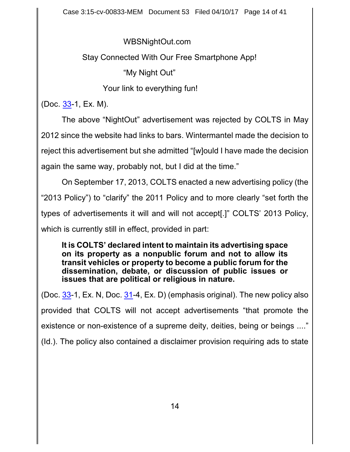WBSNightOut.com

Stay Connected With Our Free Smartphone App!

"My Night Out"

Your link to everything fun!

(Doc. [33](http://ecf.pamd.uscourts.gov/doc1/15505558178)-1, Ex. M).

The above "NightOut" advertisement was rejected by COLTS in May 2012 since the website had links to bars. Wintermantel made the decision to reject this advertisement but she admitted "[w]ould I have made the decision again the same way, probably not, but I did at the time."

On September 17, 2013, COLTS enacted a new advertising policy (the "2013 Policy") to "clarify" the 2011 Policy and to more clearly "set forth the types of advertisements it will and will not accept[.]" COLTS' 2013 Policy, which is currently still in effect, provided in part:

**It is COLTS' declared intent to maintain its advertising space on its property as a nonpublic forum and not to allow its transit vehicles or property to become a public forum for the dissemination, debate, or discussion of public issues or issues that are political or religious in nature.**

(Doc.  $33$ -1, Ex. N, Doc.  $31$ -4, Ex. D) (emphasis original). The new policy also provided that COLTS will not accept advertisements "that promote the existence or non-existence of a supreme deity, deities, being or beings ...." (Id.). The policy also contained a disclaimer provision requiring ads to state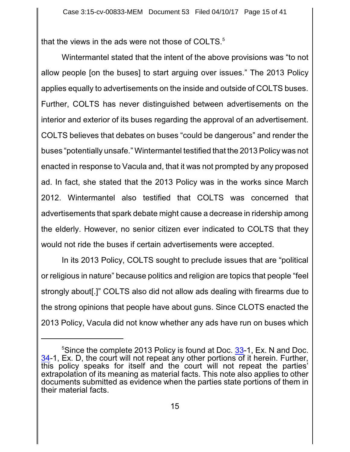that the views in the ads were not those of COLTS. $5$ 

Wintermantel stated that the intent of the above provisions was "to not allow people [on the buses] to start arguing over issues." The 2013 Policy applies equally to advertisements on the inside and outside of COLTS buses. Further, COLTS has never distinguished between advertisements on the interior and exterior of its buses regarding the approval of an advertisement. COLTS believes that debates on buses "could be dangerous" and render the buses "potentially unsafe." Wintermantel testified that the 2013 Policy was not enacted in response to Vacula and, that it was not prompted by any proposed ad. In fact, she stated that the 2013 Policy was in the works since March 2012. Wintermantel also testified that COLTS was concerned that advertisements that spark debate might cause a decrease in ridership among the elderly. However, no senior citizen ever indicated to COLTS that they would not ride the buses if certain advertisements were accepted.

In its 2013 Policy, COLTS sought to preclude issues that are "political or religious in nature" because politics and religion are topics that people "feel strongly about[.]" COLTS also did not allow ads dealing with firearms due to the strong opinions that people have about guns. Since CLOTS enacted the 2013 Policy, Vacula did not know whether any ads have run on buses which

 $5$ Since the complete 2013 Policy is found at Doc. [33](http://ecf.pamd.uscourts.gov/doc1/15505558178)-1, Ex. N and Doc. [34](http://ecf.pamd.uscourts.gov/doc1/15505575357)-1, Ex. D, the court will not repeat any other portions of it herein. Further, this policy speaks for itself and the court will not repeat the parties' extrapolation of its meaning as material facts. This note also applies to other documents submitted as evidence when the parties state portions of them in their material facts.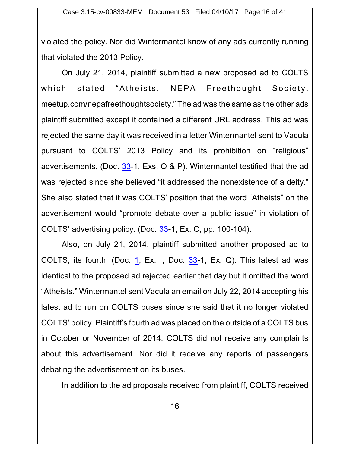violated the policy. Nor did Wintermantel know of any ads currently running that violated the 2013 Policy.

On July 21, 2014, plaintiff submitted a new proposed ad to COLTS which stated "Atheists. NEPA Freethought Society. meetup.com/nepafreethoughtsociety." The ad was the same as the other ads plaintiff submitted except it contained a different URL address. This ad was rejected the same day it was received in a letter Wintermantel sent to Vacula pursuant to COLTS' 2013 Policy and its prohibition on "religious" advertisements. (Doc.  $33-1$  $33-1$ , Exs. O & P). Wintermantel testified that the ad was rejected since she believed "it addressed the nonexistence of a deity." She also stated that it was COLTS' position that the word "Atheists" on the advertisement would "promote debate over a public issue" in violation of COLTS' advertising policy. (Doc. [33](http://ecf.pamd.uscourts.gov/doc1/15505558178)-1, Ex. C, pp. 100-104).

Also, on July 21, 2014, plaintiff submitted another proposed ad to COLTS, its fourth. (Doc. [1](http://ecf.pamd.uscourts.gov/doc1/15505054481), Ex. I, Doc. [33](http://ecf.pamd.uscourts.gov/doc1/15505558178)-1, Ex. Q). This latest ad was identical to the proposed ad rejected earlier that day but it omitted the word "Atheists." Wintermantel sent Vacula an email on July 22, 2014 accepting his latest ad to run on COLTS buses since she said that it no longer violated COLTS' policy. Plaintiff's fourth ad was placed on the outside of a COLTS bus in October or November of 2014. COLTS did not receive any complaints about this advertisement. Nor did it receive any reports of passengers debating the advertisement on its buses.

In addition to the ad proposals received from plaintiff, COLTS received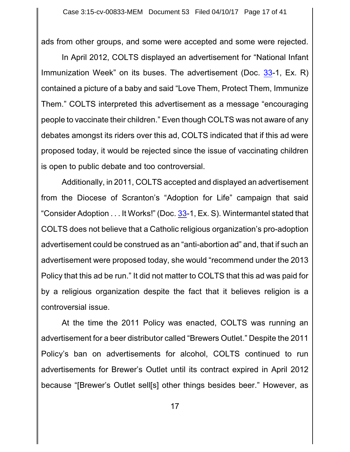ads from other groups, and some were accepted and some were rejected.

In April 2012, COLTS displayed an advertisement for "National Infant Immunization Week" on its buses. The advertisement (Doc. [33](http://ecf.pamd.uscourts.gov/doc1/15505558178)-1, Ex. R) contained a picture of a baby and said "Love Them, Protect Them, Immunize Them." COLTS interpreted this advertisement as a message "encouraging people to vaccinate their children." Even though COLTS was not aware of any debates amongst its riders over this ad, COLTS indicated that if this ad were proposed today, it would be rejected since the issue of vaccinating children is open to public debate and too controversial.

Additionally, in 2011, COLTS accepted and displayed an advertisement from the Diocese of Scranton's "Adoption for Life" campaign that said "Consider Adoption . . . It Works!" (Doc. [33](http://ecf.pamd.uscourts.gov/doc1/15505558178)-1, Ex. S). Wintermantel stated that COLTS does not believe that a Catholic religious organization's pro-adoption advertisement could be construed as an "anti-abortion ad" and, that if such an advertisement were proposed today, she would "recommend under the 2013 Policy that this ad be run." It did not matter to COLTS that this ad was paid for by a religious organization despite the fact that it believes religion is a controversial issue.

At the time the 2011 Policy was enacted, COLTS was running an advertisement for a beer distributor called "Brewers Outlet." Despite the 2011 Policy's ban on advertisements for alcohol, COLTS continued to run advertisements for Brewer's Outlet until its contract expired in April 2012 because "[Brewer's Outlet sell[s] other things besides beer." However, as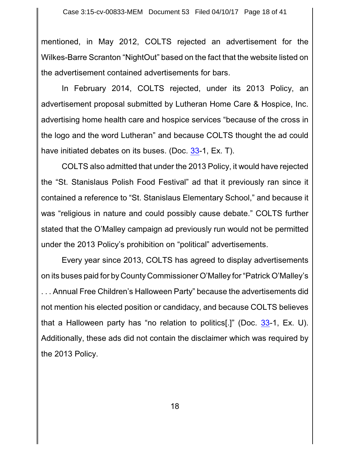mentioned, in May 2012, COLTS rejected an advertisement for the Wilkes-Barre Scranton "NightOut" based on the fact that the website listed on the advertisement contained advertisements for bars.

In February 2014, COLTS rejected, under its 2013 Policy, an advertisement proposal submitted by Lutheran Home Care & Hospice, Inc. advertising home health care and hospice services "because of the cross in the logo and the word Lutheran" and because COLTS thought the ad could have initiated debates on its buses. (Doc. [33](http://ecf.pamd.uscourts.gov/doc1/15505558178)-1, Ex. T).

COLTS also admitted that under the 2013 Policy, it would have rejected the "St. Stanislaus Polish Food Festival" ad that it previously ran since it contained a reference to "St. Stanislaus Elementary School," and because it was "religious in nature and could possibly cause debate." COLTS further stated that the O'Malley campaign ad previously run would not be permitted under the 2013 Policy's prohibition on "political" advertisements.

Every year since 2013, COLTS has agreed to display advertisements on its buses paid for by County Commissioner O'Malley for "Patrick O'Malley's . . . Annual Free Children's Halloween Party" because the advertisements did not mention his elected position or candidacy, and because COLTS believes that a Halloween party has "no relation to politics[.]" (Doc. [33](http://ecf.pamd.uscourts.gov/doc1/15505558178)-1, Ex. U). Additionally, these ads did not contain the disclaimer which was required by the 2013 Policy.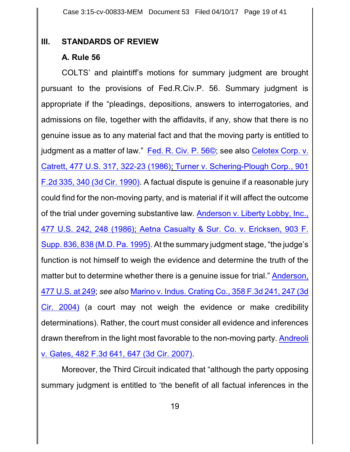### **III. STANDARDS OF REVIEW**

## **A. Rule 56**

COLTS' and plaintiff's motions for summary judgment are brought pursuant to the provisions of Fed.R.Civ.P. 56. Summary judgment is appropriate if the "pleadings, depositions, answers to interrogatories, and admissions on file, together with the affidavits, if any, show that there is no genuine issue as to any material fact and that the moving party is entitled to judgment as a matter of law." [Fed.](http://westlaw.com/find/default.wl?ft=L&docname=USFRCPR56&rs=btil2.0&rp=%2ffind%2fdefault.wl&fn=_top&findtype=L&vr=2.0&db=1000600&wbtoolsId=USFRCPR56&HistoryType=F) R. Civ. P. 56©; see also [Celotex](http://westlaw.com/find/default.wl?ft=Y&referencepositiontype=S&rs=btil2.0&rp=%2ffind%2fdefault.wl&serialnum=1986132677&fn=_top&referenceposition=322&findtype=Y&vr=2.0&db=0000780&wbtoolsId=1986132677&HistoryType=F) Corp. v. [Catrett, 477 U.S.](http://westlaw.com/find/default.wl?ft=Y&referencepositiontype=S&rs=btil2.0&rp=%2ffind%2fdefault.wl&serialnum=1986132677&fn=_top&referenceposition=322&findtype=Y&vr=2.0&db=0000780&wbtoolsId=1986132677&HistoryType=F) 317, 322-23 (1986); [Turner v. Schering-Plough Corp., 901](http://westlaw.com/find/default.wl?ft=Y&referencepositiontype=S&rs=btil2.0&rp=%2ffind%2fdefault.wl&serialnum=1990067742&fn=_top&referenceposition=340&findtype=Y&vr=2.0&db=0000350&wbtoolsId=1990067742&HistoryType=F) F.2d 335, [340 \(3d Cir.](http://westlaw.com/find/default.wl?ft=Y&referencepositiontype=S&rs=btil2.0&rp=%2ffind%2fdefault.wl&serialnum=1990067742&fn=_top&referenceposition=340&findtype=Y&vr=2.0&db=0000350&wbtoolsId=1990067742&HistoryType=F) 1990). A factual dispute is genuine if a reasonable jury could find for the non-moving party, and is material if it will affect the outcome of the trial under governing substantive law. [Anderson v. Liberty](http://westlaw.com/find/default.wl?ft=Y&referencepositiontype=S&rs=btil2.0&rp=%2ffind%2fdefault.wl&serialnum=1986132674&fn=_top&referenceposition=248&findtype=Y&vr=2.0&db=0000780&wbtoolsId=1986132674&HistoryType=F) Lobby, Inc., 477 U.S. 242, [248 \(1986\)](http://westlaw.com/find/default.wl?ft=Y&referencepositiontype=S&rs=btil2.0&rp=%2ffind%2fdefault.wl&serialnum=1986132674&fn=_top&referenceposition=248&findtype=Y&vr=2.0&db=0000780&wbtoolsId=1986132674&HistoryType=F); Aetna Casualty & Sur. Co. v. [Ericksen,](http://westlaw.com/find/default.wl?ft=Y&referencepositiontype=S&rs=btil2.0&rp=%2ffind%2fdefault.wl&serialnum=1995225725&fn=_top&referenceposition=838&findtype=Y&vr=2.0&db=0000345&wbtoolsId=1995225725&HistoryType=F) 903 F. Supp. 836, [838 \(M.D.](http://westlaw.com/find/default.wl?ft=Y&referencepositiontype=S&rs=btil2.0&rp=%2ffind%2fdefault.wl&serialnum=1995225725&fn=_top&referenceposition=838&findtype=Y&vr=2.0&db=0000345&wbtoolsId=1995225725&HistoryType=F) Pa. 1995). At the summary judgment stage, "the judge's function is not himself to weigh the evidence and determine the truth of the matter but to determine whether there is a genuine issue for trial." [Anderson,](http://westlaw.com/find/default.wl?ft=Y&referencepositiontype=S&rs=btil2.0&rp=%2ffind%2fdefault.wl&serialnum=1986132674&fn=_top&referenceposition=248&findtype=Y&vr=2.0&db=0000780&wbtoolsId=1986132674&HistoryType=F) [477 U.S.](http://westlaw.com/find/default.wl?ft=Y&referencepositiontype=S&rs=btil2.0&rp=%2ffind%2fdefault.wl&serialnum=1986132674&fn=_top&referenceposition=248&findtype=Y&vr=2.0&db=0000780&wbtoolsId=1986132674&HistoryType=F) at 249; *see also* Marino v. Indus. Crating Co., [358 F.3d 241,](http://westlaw.com/find/default.wl?ft=Y&referencepositiontype=S&rs=btil2.0&rp=%2ffind%2fdefault.wl&serialnum=2004144570&fn=_top&referenceposition=247&findtype=Y&vr=2.0&db=0000506&wbtoolsId=2004144570&HistoryType=F) 247 (3d Cir. [2004\)](http://westlaw.com/find/default.wl?ft=Y&referencepositiontype=S&rs=btil2.0&rp=%2ffind%2fdefault.wl&serialnum=2004144570&fn=_top&referenceposition=247&findtype=Y&vr=2.0&db=0000506&wbtoolsId=2004144570&HistoryType=F) (a court may not weigh the evidence or make credibility determinations). Rather, the court must consider all evidence and inferences drawn therefrom in the light most favorable to the non-moving party. [Andreoli](http://westlaw.com/find/default.wl?ft=Y&referencepositiontype=S&rs=btil2.0&rp=%2ffind%2fdefault.wl&serialnum=2011888780&fn=_top&referenceposition=647&findtype=Y&vr=2.0&db=0000506&wbtoolsId=2011888780&HistoryType=F) v. Gates, [482 F.3d 641,](http://westlaw.com/find/default.wl?ft=Y&referencepositiontype=S&rs=btil2.0&rp=%2ffind%2fdefault.wl&serialnum=2011888780&fn=_top&referenceposition=647&findtype=Y&vr=2.0&db=0000506&wbtoolsId=2011888780&HistoryType=F) 647 (3d Cir. 2007).

Moreover, the Third Circuit indicated that "although the party opposing summary judgment is entitled to 'the benefit of all factual inferences in the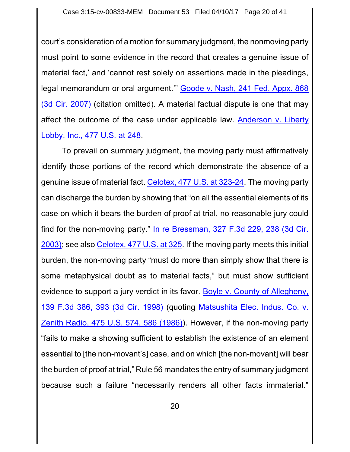court's consideration of a motion for summary judgment, the nonmoving party must point to some evidence in the record that creates a genuine issue of material fact,' and 'cannot rest solely on assertions made in the pleadings, legal memorandum or oral argument.'" [Goode v.](http://westlaw.com/find/default.wl?ft=Y&db=0006538&rs=btil2.0&rp=%2ffind%2fdefault.wl&serialnum=2012748016&fn=_top&findtype=Y&vr=2.0&wbtoolsId=2012748016&HistoryType=F) Nash, 241 Fed. Appx. 868 [\(3d Cir.](http://westlaw.com/find/default.wl?ft=Y&db=0006538&rs=btil2.0&rp=%2ffind%2fdefault.wl&serialnum=2012748016&fn=_top&findtype=Y&vr=2.0&wbtoolsId=2012748016&HistoryType=F) 2007) (citation omitted). A material factual dispute is one that may affect the outcome of the case under applicable law. [Anderson v.](http://westlaw.com/find/default.wl?ft=Y&referencepositiontype=S&rs=btil2.0&rp=%2ffind%2fdefault.wl&serialnum=1986132674&fn=_top&referenceposition=248&findtype=Y&vr=2.0&db=0000780&wbtoolsId=1986132674&HistoryType=F) Liberty Lobby, Inc., [477 U.S.](http://westlaw.com/find/default.wl?ft=Y&referencepositiontype=S&rs=btil2.0&rp=%2ffind%2fdefault.wl&serialnum=1986132674&fn=_top&referenceposition=248&findtype=Y&vr=2.0&db=0000780&wbtoolsId=1986132674&HistoryType=F) at 248.

To prevail on summary judgment, the moving party must affirmatively identify those portions of the record which demonstrate the absence of a genuine issue of material fact. [Celotex, 477 U.S.](http://westlaw.com/find/default.wl?ft=Y&referencepositiontype=S&rs=btil2.0&rp=%2ffind%2fdefault.wl&serialnum=1986132677&fn=_top&referenceposition=322&findtype=Y&vr=2.0&db=0000780&wbtoolsId=1986132677&HistoryType=F) at 323-24. The moving party can discharge the burden by showing that "on all the essential elements of its case on which it bears the burden of proof at trial, no reasonable jury could find for the non-moving party." [In re Bressman,](http://westlaw.com/find/default.wl?ft=Y&referencepositiontype=S&rs=btil2.0&rp=%2ffind%2fdefault.wl&serialnum=2003314002&fn=_top&referenceposition=238&findtype=Y&vr=2.0&db=0000506&wbtoolsId=2003314002&HistoryType=F) 327 F.3d 229, 238 (3d Cir. [2003\)](http://westlaw.com/find/default.wl?ft=Y&referencepositiontype=S&rs=btil2.0&rp=%2ffind%2fdefault.wl&serialnum=2003314002&fn=_top&referenceposition=238&findtype=Y&vr=2.0&db=0000506&wbtoolsId=2003314002&HistoryType=F); see also Celotex, [477 U.S.](http://westlaw.com/find/default.wl?ft=Y&referencepositiontype=S&rs=btil2.0&rp=%2ffind%2fdefault.wl&serialnum=1986132677&fn=_top&referenceposition=322&findtype=Y&vr=2.0&db=0000780&wbtoolsId=1986132677&HistoryType=F) at 325. If the moving party meets this initial burden, the non-moving party "must do more than simply show that there is some metaphysical doubt as to material facts," but must show sufficient evidence to support a jury verdict in its favor. Boyle v. County of [Allegheny,](http://westlaw.com/find/default.wl?ft=Y&referencepositiontype=S&rs=btil2.0&rp=%2ffind%2fdefault.wl&serialnum=1998075483&fn=_top&referenceposition=393&findtype=Y&vr=2.0&db=0000506&wbtoolsId=1998075483&HistoryType=F) [139 F.3d 386,](http://westlaw.com/find/default.wl?ft=Y&referencepositiontype=S&rs=btil2.0&rp=%2ffind%2fdefault.wl&serialnum=1998075483&fn=_top&referenceposition=393&findtype=Y&vr=2.0&db=0000506&wbtoolsId=1998075483&HistoryType=F) 393 (3d Cir. 1998) (quoting [Matsushita Elec.](http://westlaw.com/find/default.wl?ft=Y&referencepositiontype=S&rs=btil2.0&rp=%2ffind%2fdefault.wl&serialnum=1986115992&fn=_top&referenceposition=586&findtype=Y&vr=2.0&db=0000780&wbtoolsId=1986115992&HistoryType=F) Indus. Co. v. [Zenith Radio,](http://westlaw.com/find/default.wl?ft=Y&referencepositiontype=S&rs=btil2.0&rp=%2ffind%2fdefault.wl&serialnum=1986115992&fn=_top&referenceposition=586&findtype=Y&vr=2.0&db=0000780&wbtoolsId=1986115992&HistoryType=F) 475 U.S. 574, 586 (1986)). However, if the non-moving party "fails to make a showing sufficient to establish the existence of an element essential to [the non-movant's] case, and on which [the non-movant] will bear the burden of proof at trial," Rule 56 mandates the entry of summary judgment because such a failure "necessarily renders all other facts immaterial."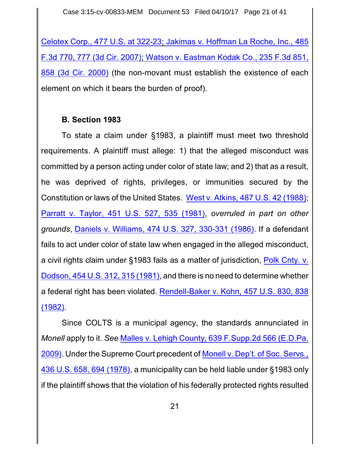Celotex Corp., [477 U.S. at 322-23](http://westlaw.com/find/default.wl?ft=Y&referencepositiontype=S&rs=btil2.0&rp=%2ffind%2fdefault.wl&serialnum=1986132677&fn=_top&referenceposition=322&findtype=Y&vr=2.0&db=0000780&wbtoolsId=1986132677&HistoryType=F); [Jakimas v. Hoffman La Roche,](http://westlaw.com/find/default.wl?ft=Y&referencepositiontype=S&rs=btil2.0&rp=%2ffind%2fdefault.wl&serialnum=2012238040&fn=_top&referenceposition=777&findtype=Y&vr=2.0&db=0000506&wbtoolsId=2012238040&HistoryType=F) Inc., 485 F.3d 770, [777 \(3d Cir.](http://westlaw.com/find/default.wl?ft=Y&referencepositiontype=S&rs=btil2.0&rp=%2ffind%2fdefault.wl&serialnum=2012238040&fn=_top&referenceposition=777&findtype=Y&vr=2.0&db=0000506&wbtoolsId=2012238040&HistoryType=F) 2007); Watson v. [Eastman Kodak](http://westlaw.com/find/default.wl?ft=Y&referencepositiontype=S&rs=btil2.0&rp=%2ffind%2fdefault.wl&serialnum=2000654686&fn=_top&referenceposition=858&findtype=Y&vr=2.0&db=0000506&wbtoolsId=2000654686&HistoryType=F) Co., 235 F.3d 851, [858 \(3d Cir.](http://westlaw.com/find/default.wl?ft=Y&referencepositiontype=S&rs=btil2.0&rp=%2ffind%2fdefault.wl&serialnum=2000654686&fn=_top&referenceposition=858&findtype=Y&vr=2.0&db=0000506&wbtoolsId=2000654686&HistoryType=F) 2000) (the non-movant must establish the existence of each element on which it bears the burden of proof).

### **B. Section 1983**

To state a claim under §1983, a plaintiff must meet two threshold requirements. A plaintiff must allege: 1) that the alleged misconduct was committed by a person acting under color of state law; and 2) that as a result, he was deprived of rights, privileges, or immunities secured by the Constitution or laws of the United States. West v. Atkins, 487 U.S. [42 \(1988\)](https://www.westlaw.com/Document/I1786319b9c1f11d993e6d35cc61aab4a/View/FullText.html?transitionType=Default&contextData=(sc.Default)&VR=3.0&RS=da3.0); Parratt v. Taylor, 451 U.S. 527, [535 \(1981\)](https://www.westlaw.com/Document/I618278869c1f11d9bc61beebb95be672/View/FullText.html?transitionType=Default&contextData=(sc.Default)&VR=3.0&RS=da3.0&fragmentIdentifier=co_pp_sp_780_535), *overruled in part on other grounds*, Daniels v. Williams, 474 U.S. 327, [330-331 \(1986\)](https://www.westlaw.com/Link/Document/FullText?cite=474US327&VR=3.0&RS=da3.0). If a defendant fails to act under color of state law when engaged in the alleged misconduct, a civil rights claim under §1983 fails as a matter of jurisdiction, Polk [Cnty.](https://www.westlaw.com/Document/I178f324e9c1f11d993e6d35cc61aab4a/View/FullText.html?transitionType=Default&contextData=(sc.Default)&VR=3.0&RS=da3.0&fragmentIdentifier=co_pp_sp_780_315) v. Dodson, 454 U.S. 312, [315 \(1981\)](https://www.westlaw.com/Document/I178f324e9c1f11d993e6d35cc61aab4a/View/FullText.html?transitionType=Default&contextData=(sc.Default)&VR=3.0&RS=da3.0&fragmentIdentifier=co_pp_sp_780_315), and there is no need to determine whether a federal right has been violated. [Rendell-Baker v. Kohn, 457 U.S. 830, 838](https://www.westlaw.com/Document/I72eafe199c9a11d991d0cc6b54f12d4d/View/FullText.html?transitionType=Default&contextData=(sc.Default)&VR=3.0&RS=da3.0&fragmentIdentifier=co_pp_sp_780_838) [\(1982\)](https://www.westlaw.com/Document/I72eafe199c9a11d991d0cc6b54f12d4d/View/FullText.html?transitionType=Default&contextData=(sc.Default)&VR=3.0&RS=da3.0&fragmentIdentifier=co_pp_sp_780_838).

Since COLTS is a municipal agency, the standards annunciated in *Monell* apply to it. *See* Malles v. Lehigh County, [639 F.Supp.2d 566 \(E.D.Pa.](https://www.westlaw.com/Document/I4cec04b27d2d11de9988d233d23fe599/View/FullText.html?transitionType=Default&contextData=(sc.Default)&VR=3.0&RS=da3.0) [2009\)](https://www.westlaw.com/Document/I4cec04b27d2d11de9988d233d23fe599/View/FullText.html?transitionType=Default&contextData=(sc.Default)&VR=3.0&RS=da3.0). Under the Supreme Court precedent of Monell v. Dep't. of [Soc. Servs.,](https://www.westlaw.com/Document/I6184263e9c1f11d9bc61beebb95be672/View/FullText.html?transitionType=Default&contextData=(sc.Default)&VR=3.0&RS=da3.0&fragmentIdentifier=co_pp_sp_780_694) 436 U.S. 658, [694 \(1978\)](https://www.westlaw.com/Document/I6184263e9c1f11d9bc61beebb95be672/View/FullText.html?transitionType=Default&contextData=(sc.Default)&VR=3.0&RS=da3.0&fragmentIdentifier=co_pp_sp_780_694), a municipality can be held liable under §1983 only if the plaintiff shows that the violation of his federally protected rights resulted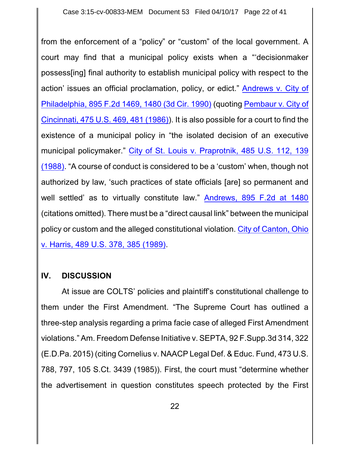from the enforcement of a "policy" or "custom" of the local government. A court may find that a municipal policy exists when a "'decisionmaker possess[ing] final authority to establish municipal policy with respect to the action' issues an official proclamation, policy, or edict." [Andrews](https://www.westlaw.com/Document/I381cd647971d11d9bc61beebb95be672/View/FullText.html?transitionType=Default&contextData=(sc.Default)&VR=3.0&RS=da3.0&fragmentIdentifier=co_pp_sp_350_1480) v. City of Philadelphia, [895 F.2d 1469,](https://www.westlaw.com/Document/I381cd647971d11d9bc61beebb95be672/View/FullText.html?transitionType=Default&contextData=(sc.Default)&VR=3.0&RS=da3.0&fragmentIdentifier=co_pp_sp_350_1480) 1480 (3d Cir. 1990) (quoting [Pembaur v.](https://www.westlaw.com/Document/I618c8aa09c1f11d9bc61beebb95be672/View/FullText.html?transitionType=Default&contextData=(sc.Default)&VR=3.0&RS=da3.0&fragmentIdentifier=co_pp_sp_780_481) City of Cincinnati, 475 U.S. 469, [481 \(1986\)](https://www.westlaw.com/Document/I618c8aa09c1f11d9bc61beebb95be672/View/FullText.html?transitionType=Default&contextData=(sc.Default)&VR=3.0&RS=da3.0&fragmentIdentifier=co_pp_sp_780_481)). It is also possible for a court to find the existence of a municipal policy in "the isolated decision of an executive municipal policymaker." City of St. Louis v. [Praprotnik,](https://www.westlaw.com/Document/I178cc14f9c1f11d993e6d35cc61aab4a/View/FullText.html?transitionType=Default&contextData=(sc.Default)&VR=3.0&RS=da3.0&fragmentIdentifier=co_pp_sp_780_139) 485 U.S. 112, 139 [\(1988\)](https://www.westlaw.com/Document/I178cc14f9c1f11d993e6d35cc61aab4a/View/FullText.html?transitionType=Default&contextData=(sc.Default)&VR=3.0&RS=da3.0&fragmentIdentifier=co_pp_sp_780_139). "A course of conduct is considered to be a 'custom' when, though not authorized by law, 'such practices of state officials [are] so permanent and well settled' as to virtually constitute law." Andrews, [895 F.2d at](https://www.westlaw.com/Document/I381cd647971d11d9bc61beebb95be672/View/FullText.html?transitionType=Default&contextData=(sc.Default)&VR=3.0&RS=da3.0&fragmentIdentifier=co_pp_sp_350_1480) 1480 (citations omitted). There must be a "direct causal link" between the municipal policy or custom and the alleged constitutional violation. City of [Canton,](https://www.westlaw.com/Document/I6b457f649c2511d9bc61beebb95be672/View/FullText.html?transitionType=Default&contextData=(sc.Default)&VR=3.0&RS=da3.0&fragmentIdentifier=co_pp_sp_780_385) Ohio v. Harris, [489 U.S. 378,](https://www.westlaw.com/Document/I6b457f649c2511d9bc61beebb95be672/View/FullText.html?transitionType=Default&contextData=(sc.Default)&VR=3.0&RS=da3.0&fragmentIdentifier=co_pp_sp_780_385) 385 (1989).

### **IV. DISCUSSION**

At issue are COLTS' policies and plaintiff's constitutional challenge to them under the First Amendment. "The Supreme Court has outlined a three-step analysis regarding a prima facie case of alleged First Amendment violations." Am. Freedom Defense Initiative v. SEPTA, 92 F.Supp.3d 314, 322 (E.D.Pa. 2015) (citing Cornelius v. NAACP Legal Def. & Educ. Fund, 473 U.S. 788, 797, 105 S.Ct. 3439 (1985)). First, the court must "determine whether the advertisement in question constitutes speech protected by the First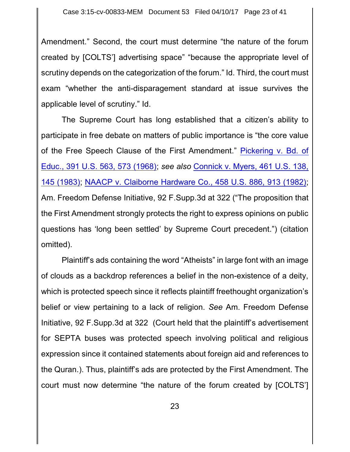Amendment." Second, the court must determine "the nature of the forum created by [COLTS'] advertising space" "because the appropriate level of scrutiny depends on the categorization of the forum." Id. Third, the court must exam "whether the anti-disparagement standard at issue survives the applicable level of scrutiny." Id.

The Supreme Court has long established that a citizen's ability to participate in free debate on matters of public importance is "the core value of the Free Speech Clause of the First Amendment." [Pickering v. Bd.](https://www.westlaw.com/Document/I179944619c1f11d993e6d35cc61aab4a/View/FullText.html?transitionType=Default&contextData=(sc.Default)&VR=3.0&RS=da3.0&fragmentIdentifier=co_pp_sp_780_573) of Educ., 391 U.S. 563, [573 \(1968\)](https://www.westlaw.com/Document/I179944619c1f11d993e6d35cc61aab4a/View/FullText.html?transitionType=Default&contextData=(sc.Default)&VR=3.0&RS=da3.0&fragmentIdentifier=co_pp_sp_780_573); *see also* Connick [v. Myers,](https://www.westlaw.com/Document/I1d1a06e29c9711d993e6d35cc61aab4a/View/FullText.html?transitionType=Default&contextData=(sc.Default)&VR=3.0&RS=da3.0&fragmentIdentifier=co_pp_sp_780_145) 461 U.S. 138, [145 \(1983\)](https://www.westlaw.com/Document/I1d1a06e29c9711d993e6d35cc61aab4a/View/FullText.html?transitionType=Default&contextData=(sc.Default)&VR=3.0&RS=da3.0&fragmentIdentifier=co_pp_sp_780_145); NAACP v. [Claiborne Hardware Co.,](https://www.westlaw.com/Document/I178e6ef79c1f11d993e6d35cc61aab4a/View/FullText.html?transitionType=Default&contextData=(sc.Default)&VR=3.0&RS=da3.0&fragmentIdentifier=co_pp_sp_780_913) 458 U.S. 886, 913 (1982); Am. Freedom Defense Initiative, 92 F.Supp.3d at 322 ("The proposition that the First Amendment strongly protects the right to express opinions on public questions has 'long been settled' by Supreme Court precedent.") (citation omitted).

Plaintiff's ads containing the word "Atheists" in large font with an image of clouds as a backdrop references a belief in the non-existence of a deity, which is protected speech since it reflects plaintiff freethought organization's belief or view pertaining to a lack of religion. *See* Am. Freedom Defense Initiative, 92 F.Supp.3d at 322 (Court held that the plaintiff's advertisement for SEPTA buses was protected speech involving political and religious expression since it contained statements about foreign aid and references to the Quran.). Thus, plaintiff's ads are protected by the First Amendment. The court must now determine "the nature of the forum created by [COLTS']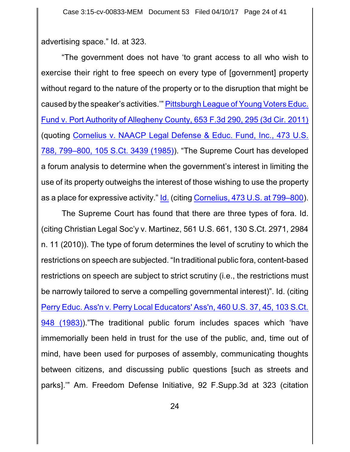advertising space." Id. at 323.

"The government does not have 'to grant access to all who wish to exercise their right to free speech on every type of [government] property without regard to the nature of the property or to the disruption that might be caused by the speaker's activities.'" [Pittsburgh League of](https://www.westlaw.com/Document/I05efcc1ebf8211e086cdc006bc7eafe7/View/FullText.html?transitionType=Default&contextData=(sc.Default)&VR=3.0&RS=da3.0&fragmentIdentifier=co_pp_sp_506_295) Young Voters Educ. Fund v. Port Authority of Allegheny County, [653 F.3d 290,](https://www.westlaw.com/Document/I05efcc1ebf8211e086cdc006bc7eafe7/View/FullText.html?transitionType=Default&contextData=(sc.Default)&VR=3.0&RS=da3.0&fragmentIdentifier=co_pp_sp_506_295) 295 (3d Cir. 2011) (quoting Cornelius v. NAACP [Legal Defense & Educ.](https://www.westlaw.com/Document/I2356e6f39c1e11d9bdd1cfdd544ca3a4/View/FullText.html?transitionType=Default&contextData=(sc.Default)&VR=3.0&RS=da3.0&fragmentIdentifier=co_pp_sp_780_799%e2%80%93800) Fund, Inc., 473 U.S. 788, 799–800, [105 S.Ct. 3439 \(1985\)](https://www.westlaw.com/Document/I2356e6f39c1e11d9bdd1cfdd544ca3a4/View/FullText.html?transitionType=Default&contextData=(sc.Default)&VR=3.0&RS=da3.0&fragmentIdentifier=co_pp_sp_780_799%e2%80%93800)). "The Supreme Court has developed a forum analysis to determine when the government's interest in limiting the use of its property outweighs the interest of those wishing to use the property as a place for expressive activity." [Id.](https://www.westlaw.com/Document/I2356e6f39c1e11d9bdd1cfdd544ca3a4/View/FullText.html?transitionType=Default&contextData=(sc.Default)&VR=3.0&RS=da3.0) (citing [Cornelius,](https://www.westlaw.com/Document/I2356e6f39c1e11d9bdd1cfdd544ca3a4/View/FullText.html?transitionType=Default&contextData=(sc.Default)&VR=3.0&RS=da3.0&fragmentIdentifier=co_pp_sp_780_799%e2%80%93800) 473 U.S. at 799–800).

The Supreme Court has found that there are three types of fora. Id. (citing Christian Legal Soc'y v. Martinez, 561 U.S. 661, 130 S.Ct. 2971, 2984 n. 11 (2010)). The type of forum determines the level of scrutiny to which the restrictions on speech are subjected. "In traditional public fora, content-based restrictions on speech are subject to strict scrutiny (i.e., the restrictions must be narrowly tailored to serve a compelling governmental interest)". Id. (citing Perry Educ. Ass'n v. Perry [Local Educators' Ass'n,](https://www.westlaw.com/Document/I237348959c1e11d9bdd1cfdd544ca3a4/View/FullText.html?transitionType=Default&contextData=(sc.Default)&VR=3.0&RS=da3.0&fragmentIdentifier=co_pp_sp_780_45) 460 U.S. 37, 45, 103 S.Ct. [948 \(1983\)](https://www.westlaw.com/Document/I237348959c1e11d9bdd1cfdd544ca3a4/View/FullText.html?transitionType=Default&contextData=(sc.Default)&VR=3.0&RS=da3.0&fragmentIdentifier=co_pp_sp_780_45))."The traditional public forum includes spaces which 'have immemorially been held in trust for the use of the public, and, time out of mind, have been used for purposes of assembly, communicating thoughts between citizens, and discussing public questions [such as streets and parks].'" Am. Freedom Defense Initiative, 92 F.Supp.3d at 323 (citation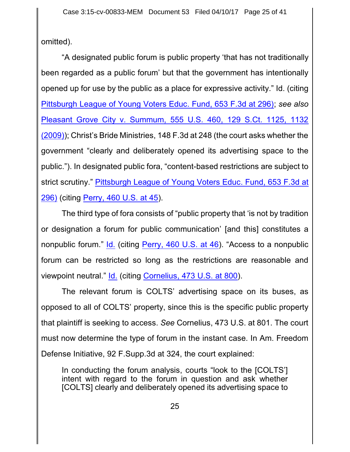omitted).

"A designated public forum is public property 'that has not traditionally been regarded as a public forum' but that the government has intentionally opened up for use by the public as a place for expressive activity." Id. (citing [Pittsburgh League of](https://www.westlaw.com/Document/I05efcc1ebf8211e086cdc006bc7eafe7/View/FullText.html?transitionType=Default&contextData=(sc.Default)&VR=3.0&RS=da3.0&fragmentIdentifier=co_pp_sp_506_295) Young Voters Educ. Fund, 653 F.3d at 296); *see also* Pleasant [Grove City](https://www.westlaw.com/Document/Ib9361e01034211deb5cbad29a280d47c/View/FullText.html?transitionType=Default&contextData=(sc.Default)&VR=3.0&RS=da3.0&fragmentIdentifier=co_pp_sp_708_1132) v. Summum, 555 U.S. 460, 129 S.Ct. 1125, 1132 [\(2009\)](https://www.westlaw.com/Document/Ib9361e01034211deb5cbad29a280d47c/View/FullText.html?transitionType=Default&contextData=(sc.Default)&VR=3.0&RS=da3.0&fragmentIdentifier=co_pp_sp_708_1132)); Christ's Bride Ministries, 148 F.3d at 248 (the court asks whether the government "clearly and deliberately opened its advertising space to the public."). In designated public fora, "content-based restrictions are subject to strict scrutiny." [Pittsburgh League of Young Voters](https://www.westlaw.com/Document/I05efcc1ebf8211e086cdc006bc7eafe7/View/FullText.html?transitionType=Default&contextData=(sc.Default)&VR=3.0&RS=da3.0&fragmentIdentifier=co_pp_sp_506_295) Educ. Fund, 653 F.3d at [296\)](https://www.westlaw.com/Document/I05efcc1ebf8211e086cdc006bc7eafe7/View/FullText.html?transitionType=Default&contextData=(sc.Default)&VR=3.0&RS=da3.0&fragmentIdentifier=co_pp_sp_506_295) (citing Perry, [460 U.S.](https://www.westlaw.com/Document/I237348959c1e11d9bdd1cfdd544ca3a4/View/FullText.html?transitionType=Default&contextData=(sc.Default)&VR=3.0&RS=da3.0&fragmentIdentifier=co_pp_sp_780_45) at 45).

The third type of fora consists of "public property that 'is not by tradition or designation a forum for public communication' [and this] constitutes a nonpublic forum." [Id.](https://www.westlaw.com/Document/I237348959c1e11d9bdd1cfdd544ca3a4/View/FullText.html?transitionType=Default&contextData=(sc.Default)&VR=3.0&RS=da3.0) (citing Perry, [460 U.S.](https://www.westlaw.com/Document/I237348959c1e11d9bdd1cfdd544ca3a4/View/FullText.html?transitionType=Default&contextData=(sc.Default)&VR=3.0&RS=da3.0&fragmentIdentifier=co_pp_sp_780_46) at 46). "Access to a nonpublic forum can be restricted so long as the restrictions are reasonable and viewpoint neutral." [Id.](https://www.westlaw.com/Document/I237348959c1e11d9bdd1cfdd544ca3a4/View/FullText.html?transitionType=Default&contextData=(sc.Default)&VR=3.0&RS=da3.0) (citing [Cornelius,](https://www.westlaw.com/Document/I2356e6f39c1e11d9bdd1cfdd544ca3a4/View/FullText.html?transitionType=Default&contextData=(sc.Default)&VR=3.0&RS=da3.0&fragmentIdentifier=co_pp_sp_780_800) 473 U.S. at 800).

The relevant forum is COLTS' advertising space on its buses, as opposed to all of COLTS' property, since this is the specific public property that plaintiff is seeking to access. *See* Cornelius, 473 U.S. at 801. The court must now determine the type of forum in the instant case. In Am. Freedom Defense Initiative, 92 F.Supp.3d at 324, the court explained:

In conducting the forum analysis, courts "look to the [COLTS'] intent with regard to the forum in question and ask whether [COLTS] clearly and deliberately opened its advertising space to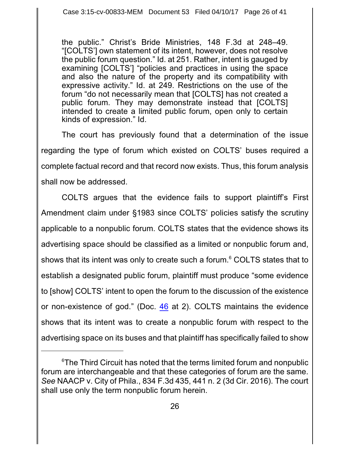the public." Christ's Bride Ministries, 148 F.3d at 248–49. "[COLTS'] own statement of its intent, however, does not resolve the public forum question." Id. at 251. Rather, intent is gauged by examining [COLTS'] "policies and practices in using the space and also the nature of the property and its compatibility with expressive activity." Id. at 249. Restrictions on the use of the forum "do not necessarily mean that [COLTS] has not created a public forum. They may demonstrate instead that [COLTS] intended to create a limited public forum, open only to certain kinds of expression." Id.

The court has previously found that a determination of the issue regarding the type of forum which existed on COLTS' buses required a complete factual record and that record now exists. Thus, this forum analysis shall now be addressed.

COLTS argues that the evidence fails to support plaintiff's First Amendment claim under §1983 since COLTS' policies satisfy the scrutiny applicable to a nonpublic forum. COLTS states that the evidence shows its advertising space should be classified as a limited or nonpublic forum and, shows that its intent was only to create such a forum.<sup>6</sup> COLTS states that to establish a designated public forum, plaintiff must produce "some evidence to [show] COLTS' intent to open the forum to the discussion of the existence or non-existence of god." (Doc. [46](http://ecf.pamd.uscourts.gov/doc1/15505630113) at 2). COLTS maintains the evidence shows that its intent was to create a nonpublic forum with respect to the advertising space on its buses and that plaintiff has specifically failed to show

 $6$ The Third Circuit has noted that the terms limited forum and nonpublic forum are interchangeable and that these categories of forum are the same. *See* NAACP v. City of Phila., 834 F.3d 435, 441 n. 2 (3d Cir. 2016). The court shall use only the term nonpublic forum herein.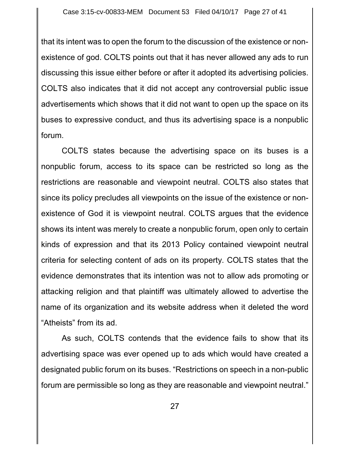that its intent was to open the forum to the discussion of the existence or nonexistence of god. COLTS points out that it has never allowed any ads to run discussing this issue either before or after it adopted its advertising policies. COLTS also indicates that it did not accept any controversial public issue advertisements which shows that it did not want to open up the space on its buses to expressive conduct, and thus its advertising space is a nonpublic forum.

COLTS states because the advertising space on its buses is a nonpublic forum, access to its space can be restricted so long as the restrictions are reasonable and viewpoint neutral. COLTS also states that since its policy precludes all viewpoints on the issue of the existence or nonexistence of God it is viewpoint neutral. COLTS argues that the evidence shows its intent was merely to create a nonpublic forum, open only to certain kinds of expression and that its 2013 Policy contained viewpoint neutral criteria for selecting content of ads on its property. COLTS states that the evidence demonstrates that its intention was not to allow ads promoting or attacking religion and that plaintiff was ultimately allowed to advertise the name of its organization and its website address when it deleted the word "Atheists" from its ad.

As such, COLTS contends that the evidence fails to show that its advertising space was ever opened up to ads which would have created a designated public forum on its buses. "Restrictions on speech in a non-public forum are permissible so long as they are reasonable and viewpoint neutral."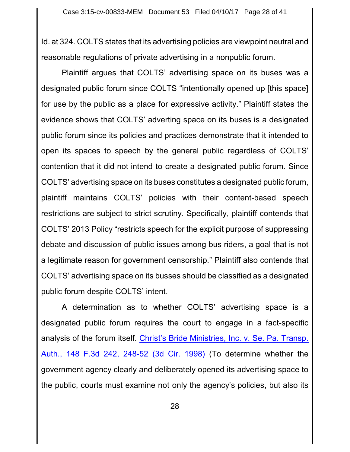Id. at 324. COLTS states that its advertising policies are viewpoint neutral and reasonable regulations of private advertising in a nonpublic forum.

Plaintiff argues that COLTS' advertising space on its buses was a designated public forum since COLTS "intentionally opened up [this space] for use by the public as a place for expressive activity." Plaintiff states the evidence shows that COLTS' adverting space on its buses is a designated public forum since its policies and practices demonstrate that it intended to open its spaces to speech by the general public regardless of COLTS' contention that it did not intend to create a designated public forum. Since COLTS' advertising space on its buses constitutes a designated public forum, plaintiff maintains COLTS' policies with their content-based speech restrictions are subject to strict scrutiny. Specifically, plaintiff contends that COLTS' 2013 Policy "restricts speech for the explicit purpose of suppressing debate and discussion of public issues among bus riders, a goal that is not a legitimate reason for government censorship." Plaintiff also contends that COLTS' advertising space on its busses should be classified as a designated public forum despite COLTS' intent.

A determination as to whether COLTS' advertising space is a designated public forum requires the court to engage in a fact-specific analysis of the forum itself. Christ's [Bride Ministries,](https://www.westlaw.com/Document/Ie9062769944111d9bdd1cfdd544ca3a4/View/FullText.html?transitionType=Default&contextData=(sc.Default)&VR=3.0&RS=da3.0&fragmentIdentifier=co_pp_sp_506_248) Inc. v. Se. Pa. Transp. Auth., 148 F.3d 242, [248-52 \(3d Cir.](https://www.westlaw.com/Document/Ie9062769944111d9bdd1cfdd544ca3a4/View/FullText.html?transitionType=Default&contextData=(sc.Default)&VR=3.0&RS=da3.0&fragmentIdentifier=co_pp_sp_506_248) 1998) (To determine whether the government agency clearly and deliberately opened its advertising space to the public, courts must examine not only the agency's policies, but also its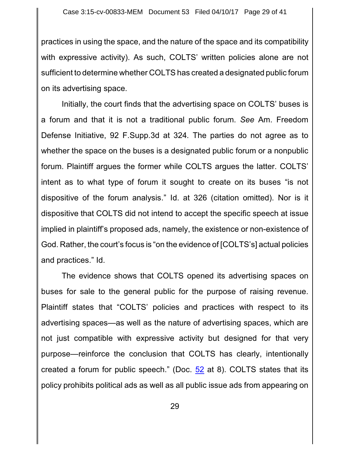practices in using the space, and the nature of the space and its compatibility with expressive activity). As such, COLTS' written policies alone are not sufficient to determine whether COLTS has created a designated public forum on its advertising space.

Initially, the court finds that the advertising space on COLTS' buses is a forum and that it is not a traditional public forum. *See* Am. Freedom Defense Initiative, 92 F.Supp.3d at 324*.* The parties do not agree as to whether the space on the buses is a designated public forum or a nonpublic forum. Plaintiff argues the former while COLTS argues the latter. COLTS' intent as to what type of forum it sought to create on its buses "is not dispositive of the forum analysis." Id. at 326 (citation omitted). Nor is it dispositive that COLTS did not intend to accept the specific speech at issue implied in plaintiff's proposed ads, namely, the existence or non-existence of God. Rather, the court's focus is "on the evidence of [COLTS's] actual policies and practices." Id.

The evidence shows that COLTS opened its advertising spaces on buses for sale to the general public for the purpose of raising revenue. Plaintiff states that "COLTS' policies and practices with respect to its advertising spaces—as well as the nature of advertising spaces, which are not just compatible with expressive activity but designed for that very purpose—reinforce the conclusion that COLTS has clearly, intentionally created a forum for public speech." (Doc. [52](http://ecf.pamd.uscourts.gov/doc1/15505666059) at 8). COLTS states that its policy prohibits political ads as well as all public issue ads from appearing on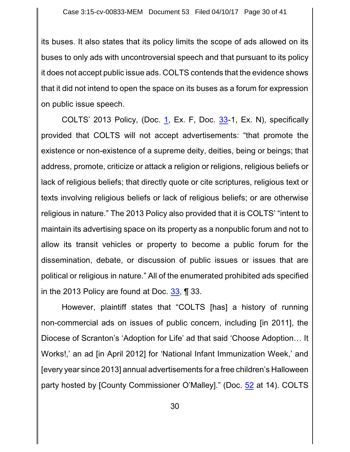its buses. It also states that its policy limits the scope of ads allowed on its buses to only ads with uncontroversial speech and that pursuant to its policy it does not accept public issue ads. COLTS contends that the evidence shows that it did not intend to open the space on its buses as a forum for expression on public issue speech.

COLTS' 2013 Policy, (Doc. [1](http://ecf.pamd.uscourts.gov/doc1/15505054481), Ex. F, Doc. [33](http://ecf.pamd.uscourts.gov/doc1/15505558178)-1, Ex. N), specifically provided that COLTS will not accept advertisements: "that promote the existence or non-existence of a supreme deity, deities, being or beings; that address, promote, criticize or attack a religion or religions, religious beliefs or lack of religious beliefs; that directly quote or cite scriptures, religious text or texts involving religious beliefs or lack of religious beliefs; or are otherwise religious in nature." The 2013 Policy also provided that it is COLTS' "intent to maintain its advertising space on its property as a nonpublic forum and not to allow its transit vehicles or property to become a public forum for the dissemination, debate, or discussion of public issues or issues that are political or religious in nature." All of the enumerated prohibited ads specified in the 2013 Policy are found at Doc. [33](http://ecf.pamd.uscourts.gov/doc1/15505558178), ¶ 33.

However, plaintiff states that "COLTS [has] a history of running non-commercial ads on issues of public concern, including [in 2011], the Diocese of Scranton's 'Adoption for Life' ad that said 'Choose Adoption… It Works!,' an ad [in April 2012] for 'National Infant Immunization Week,' and [every year since 2013] annual advertisements for a free children's Halloween party hosted by [County Commissioner O'Malley]." (Doc. [52](http://ecf.pamd.uscourts.gov/doc1/15505666059) at 14). COLTS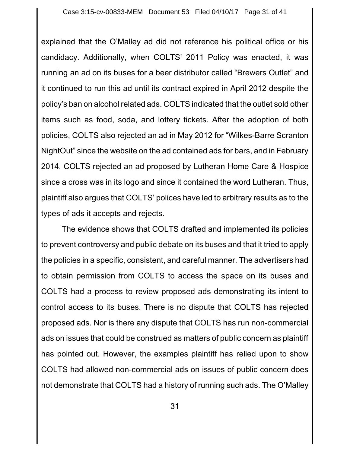explained that the O'Malley ad did not reference his political office or his candidacy. Additionally, when COLTS' 2011 Policy was enacted, it was running an ad on its buses for a beer distributor called "Brewers Outlet" and it continued to run this ad until its contract expired in April 2012 despite the policy's ban on alcohol related ads. COLTS indicated that the outlet sold other items such as food, soda, and lottery tickets. After the adoption of both policies, COLTS also rejected an ad in May 2012 for "Wilkes-Barre Scranton NightOut" since the website on the ad contained ads for bars, and in February 2014, COLTS rejected an ad proposed by Lutheran Home Care & Hospice since a cross was in its logo and since it contained the word Lutheran. Thus, plaintiff also argues that COLTS' polices have led to arbitrary results as to the types of ads it accepts and rejects.

The evidence shows that COLTS drafted and implemented its policies to prevent controversy and public debate on its buses and that it tried to apply the policies in a specific, consistent, and careful manner. The advertisers had to obtain permission from COLTS to access the space on its buses and COLTS had a process to review proposed ads demonstrating its intent to control access to its buses. There is no dispute that COLTS has rejected proposed ads. Nor is there any dispute that COLTS has run non-commercial ads on issues that could be construed as matters of public concern as plaintiff has pointed out. However, the examples plaintiff has relied upon to show COLTS had allowed non-commercial ads on issues of public concern does not demonstrate that COLTS had a history of running such ads. The O'Malley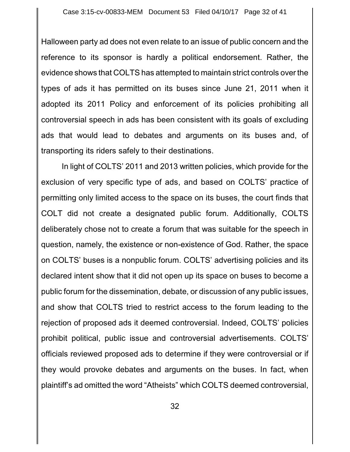Halloween party ad does not even relate to an issue of public concern and the reference to its sponsor is hardly a political endorsement. Rather, the evidence shows that COLTS has attempted to maintain strict controls over the types of ads it has permitted on its buses since June 21, 2011 when it adopted its 2011 Policy and enforcement of its policies prohibiting all controversial speech in ads has been consistent with its goals of excluding ads that would lead to debates and arguments on its buses and, of transporting its riders safely to their destinations.

In light of COLTS' 2011 and 2013 written policies, which provide for the exclusion of very specific type of ads, and based on COLTS' practice of permitting only limited access to the space on its buses, the court finds that COLT did not create a designated public forum. Additionally, COLTS deliberately chose not to create a forum that was suitable for the speech in question, namely, the existence or non-existence of God. Rather, the space on COLTS' buses is a nonpublic forum. COLTS' advertising policies and its declared intent show that it did not open up its space on buses to become a public forum for the dissemination, debate, or discussion of any public issues, and show that COLTS tried to restrict access to the forum leading to the rejection of proposed ads it deemed controversial. Indeed, COLTS' policies prohibit political, public issue and controversial advertisements. COLTS' officials reviewed proposed ads to determine if they were controversial or if they would provoke debates and arguments on the buses. In fact, when plaintiff's ad omitted the word "Atheists" which COLTS deemed controversial,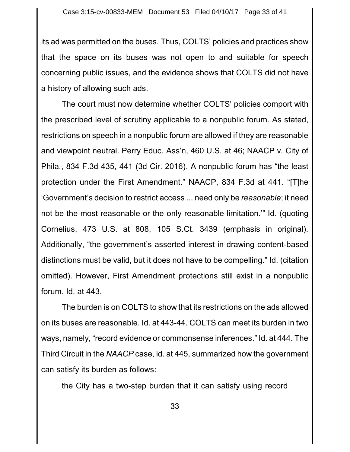its ad was permitted on the buses. Thus, COLTS' policies and practices show that the space on its buses was not open to and suitable for speech concerning public issues, and the evidence shows that COLTS did not have a history of allowing such ads.

The court must now determine whether COLTS' policies comport with the prescribed level of scrutiny applicable to a nonpublic forum. As stated, restrictions on speech in a nonpublic forum are allowed if they are reasonable and viewpoint neutral. Perry Educ. Ass'n, 460 U.S. at 46; NAACP v. City of Phila., 834 F.3d 435, 441 (3d Cir. 2016). A nonpublic forum has "the least protection under the First Amendment." NAACP, 834 F.3d at 441. "[T]he 'Government's decision to restrict access ... need only be *reasonable*; it need not be the most reasonable or the only reasonable limitation.'" Id. (quoting Cornelius, 473 U.S. at 808, 105 S.Ct. 3439 (emphasis in original). Additionally, "the government's asserted interest in drawing content-based distinctions must be valid, but it does not have to be compelling." Id. (citation omitted). However, First Amendment protections still exist in a nonpublic forum. Id. at 443.

The burden is on COLTS to show that its restrictions on the ads allowed on its buses are reasonable. Id. at 443-44. COLTS can meet its burden in two ways, namely, "record evidence or commonsense inferences." Id. at 444. The Third Circuit in the *NAACP* case, id. at 445, summarized how the government can satisfy its burden as follows:

the City has a two-step burden that it can satisfy using record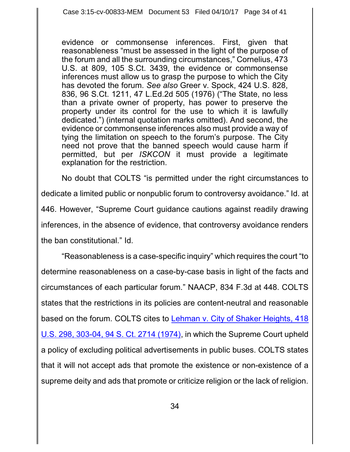evidence or commonsense inferences. First, given that reasonableness "must be assessed in the light of the purpose of the forum and all the surrounding circumstances," Cornelius, 473 U.S. at 809, 105 S.Ct. 3439, the evidence or commonsense inferences must allow us to grasp the purpose to which the City has devoted the forum. *See also* Greer v. Spock, 424 U.S. 828, 836, 96 S.Ct. 1211, 47 L.Ed.2d 505 (1976) ("The State, no less than a private owner of property, has power to preserve the property under its control for the use to which it is lawfully dedicated.") (internal quotation marks omitted). And second, the evidence or commonsense inferences also must provide a way of tying the limitation on speech to the forum's purpose. The City need not prove that the banned speech would cause harm if permitted, but per *ISKCON* it must provide a legitimate explanation for the restriction.

No doubt that COLTS "is permitted under the right circumstances to dedicate a limited public or nonpublic forum to controversy avoidance." Id. at 446. However, "Supreme Court guidance cautions against readily drawing inferences, in the absence of evidence, that controversy avoidance renders the ban constitutional." Id.

"Reasonableness is a case-specific inquiry" which requires the court "to determine reasonableness on a case-by-case basis in light of the facts and circumstances of each particular forum." NAACP, 834 F.3d at 448. COLTS states that the restrictions in its policies are content-neutral and reasonable based on the forum. COLTS cites to Lehman v. City [of Shaker Heights,](https://www.westlaw.com/Document/I0a4487ea9bf011d991d0cc6b54f12d4d/View/FullText.html?transitionType=Default&contextData=(sc.Default)&VR=3.0&RS=da3.0&fragmentIdentifier=co_pp_sp_780_303) 418 U.S. 298, 303-04, 94 S. [Ct. 2714 \(1974\)](https://www.westlaw.com/Document/I0a4487ea9bf011d991d0cc6b54f12d4d/View/FullText.html?transitionType=Default&contextData=(sc.Default)&VR=3.0&RS=da3.0&fragmentIdentifier=co_pp_sp_780_303), in which the Supreme Court upheld a policy of excluding political advertisements in public buses. COLTS states that it will not accept ads that promote the existence or non-existence of a supreme deity and ads that promote or criticize religion or the lack of religion.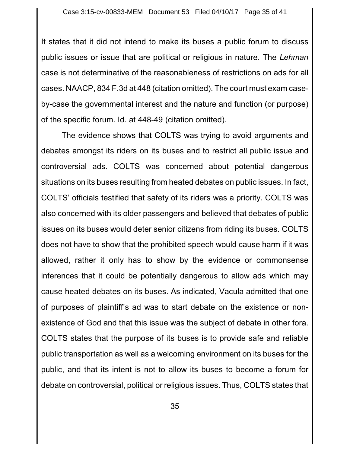It states that it did not intend to make its buses a public forum to discuss public issues or issue that are political or religious in nature. The *Lehman* case is not determinative of the reasonableness of restrictions on ads for all cases. NAACP, 834 F.3d at 448 (citation omitted). The court must exam caseby-case the governmental interest and the nature and function (or purpose) of the specific forum. Id. at 448-49 (citation omitted).

The evidence shows that COLTS was trying to avoid arguments and debates amongst its riders on its buses and to restrict all public issue and controversial ads. COLTS was concerned about potential dangerous situations on its buses resulting from heated debates on public issues. In fact, COLTS' officials testified that safety of its riders was a priority. COLTS was also concerned with its older passengers and believed that debates of public issues on its buses would deter senior citizens from riding its buses. COLTS does not have to show that the prohibited speech would cause harm if it was allowed, rather it only has to show by the evidence or commonsense inferences that it could be potentially dangerous to allow ads which may cause heated debates on its buses. As indicated, Vacula admitted that one of purposes of plaintiff's ad was to start debate on the existence or nonexistence of God and that this issue was the subject of debate in other fora. COLTS states that the purpose of its buses is to provide safe and reliable public transportation as well as a welcoming environment on its buses for the public, and that its intent is not to allow its buses to become a forum for debate on controversial, political or religious issues. Thus, COLTS states that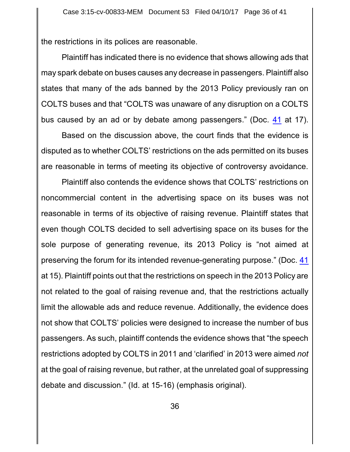the restrictions in its polices are reasonable.

Plaintiff has indicated there is no evidence that shows allowing ads that may spark debate on buses causes any decrease in passengers. Plaintiff also states that many of the ads banned by the 2013 Policy previously ran on COLTS buses and that "COLTS was unaware of any disruption on a COLTS bus caused by an ad or by debate among passengers." (Doc. [41](http://ecf.pamd.uscourts.gov/doc1/15505615170) at 17).

Based on the discussion above, the court finds that the evidence is disputed as to whether COLTS' restrictions on the ads permitted on its buses are reasonable in terms of meeting its objective of controversy avoidance.

Plaintiff also contends the evidence shows that COLTS' restrictions on noncommercial content in the advertising space on its buses was not reasonable in terms of its objective of raising revenue. Plaintiff states that even though COLTS decided to sell advertising space on its buses for the sole purpose of generating revenue, its 2013 Policy is "not aimed at preserving the forum for its intended revenue-generating purpose." (Doc. [41](http://ecf.pamd.uscourts.gov/doc1/15505615170) at 15). Plaintiff points out that the restrictions on speech in the 2013 Policy are not related to the goal of raising revenue and, that the restrictions actually limit the allowable ads and reduce revenue. Additionally, the evidence does not show that COLTS' policies were designed to increase the number of bus passengers. As such, plaintiff contends the evidence shows that "the speech restrictions adopted by COLTS in 2011 and 'clarified' in 2013 were aimed *not* at the goal of raising revenue, but rather, at the unrelated goal of suppressing debate and discussion." (Id. at 15-16) (emphasis original).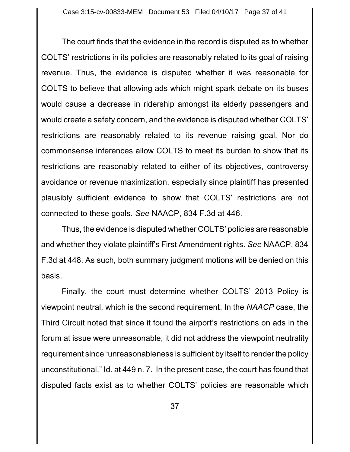The court finds that the evidence in the record is disputed as to whether COLTS' restrictions in its policies are reasonably related to its goal of raising revenue. Thus, the evidence is disputed whether it was reasonable for COLTS to believe that allowing ads which might spark debate on its buses would cause a decrease in ridership amongst its elderly passengers and would create a safety concern, and the evidence is disputed whether COLTS' restrictions are reasonably related to its revenue raising goal. Nor do commonsense inferences allow COLTS to meet its burden to show that its restrictions are reasonably related to either of its objectives, controversy avoidance or revenue maximization, especially since plaintiff has presented plausibly sufficient evidence to show that COLTS' restrictions are not connected to these goals. *See* NAACP, 834 F.3d at 446.

Thus, the evidence is disputed whether COLTS' policies are reasonable and whether they violate plaintiff's First Amendment rights. *See* NAACP, 834 F.3d at 448. As such, both summary judgment motions will be denied on this basis.

Finally, the court must determine whether COLTS' 2013 Policy is viewpoint neutral, which is the second requirement. In the *NAACP* case, the Third Circuit noted that since it found the airport's restrictions on ads in the forum at issue were unreasonable, it did not address the viewpoint neutrality requirement since "unreasonableness is sufficient by itself to render the policy unconstitutional." Id. at 449 n. 7. In the present case, the court has found that disputed facts exist as to whether COLTS' policies are reasonable which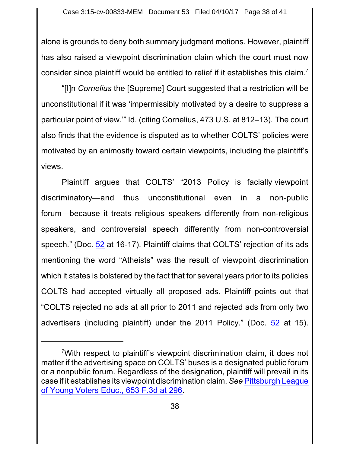alone is grounds to deny both summary judgment motions. However, plaintiff has also raised a viewpoint discrimination claim which the court must now consider since plaintiff would be entitled to relief if it establishes this claim.<sup>7</sup>

"[I]n *Cornelius* the [Supreme] Court suggested that a restriction will be unconstitutional if it was 'impermissibly motivated by a desire to suppress a particular point of view.'" Id. (citing Cornelius, 473 U.S. at 812–13). The court also finds that the evidence is disputed as to whether COLTS' policies were motivated by an animosity toward certain viewpoints, including the plaintiff's views.

Plaintiff argues that COLTS' "2013 Policy is facially viewpoint discriminatory—and thus unconstitutional even in a non-public forum—because it treats religious speakers differently from non-religious speakers, and controversial speech differently from non-controversial speech." (Doc. [52](http://ecf.pamd.uscourts.gov/doc1/15505666059) at 16-17). Plaintiff claims that COLTS' rejection of its ads mentioning the word "Atheists" was the result of viewpoint discrimination which it states is bolstered by the fact that for several years prior to its policies COLTS had accepted virtually all proposed ads. Plaintiff points out that "COLTS rejected no ads at all prior to 2011 and rejected ads from only two advertisers (including plaintiff) under the 2011 Policy." (Doc. [52](http://ecf.pamd.uscourts.gov/doc1/15505666059) at 15).

<sup>7</sup>With respect to plaintiff's viewpoint discrimination claim, it does not matter if the advertising space on COLTS' buses is a designated public forum or a nonpublic forum. Regardless of the designation, plaintiff will prevail in its case if it establishes its viewpoint discrimination claim. *See* [Pittsburgh League](https://www.westlaw.com/Document/I05efcc1ebf8211e086cdc006bc7eafe7/View/FullText.html?transitionType=Default&contextData=(sc.Default)&VR=3.0&RS=da3.0&fragmentIdentifier=co_pp_sp_506_296) of [Young Voters Educ.,](https://www.westlaw.com/Document/I05efcc1ebf8211e086cdc006bc7eafe7/View/FullText.html?transitionType=Default&contextData=(sc.Default)&VR=3.0&RS=da3.0&fragmentIdentifier=co_pp_sp_506_296) 653 F.3d at 296.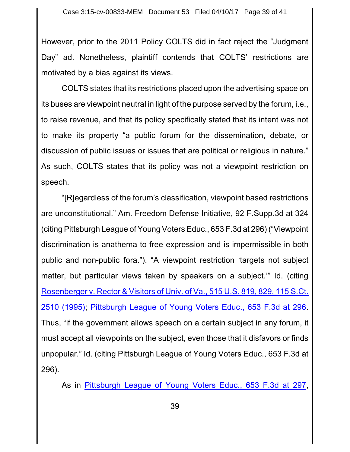However, prior to the 2011 Policy COLTS did in fact reject the "Judgment Day" ad. Nonetheless, plaintiff contends that COLTS' restrictions are motivated by a bias against its views.

COLTS states that its restrictions placed upon the advertising space on its buses are viewpoint neutral in light of the purpose served by the forum, i.e., to raise revenue, and that its policy specifically stated that its intent was not to make its property "a public forum for the dissemination, debate, or discussion of public issues or issues that are political or religious in nature." As such, COLTS states that its policy was not a viewpoint restriction on speech.

"[R]egardless of the forum's classification, viewpoint based restrictions are unconstitutional." Am. Freedom Defense Initiative, 92 F.Supp.3d at 324 (citing Pittsburgh League ofYoung Voters Educ., 653 F.3d at 296) ("Viewpoint discrimination is anathema to free expression and is impermissible in both public and non-public fora."). "A viewpoint restriction 'targets not subject matter, but particular views taken by speakers on a subject.'" Id. (citing Rosenberger v. [Rector & Visitors](https://www.westlaw.com/Document/Ia48c6e8c9c4a11d991d0cc6b54f12d4d/View/FullText.html?transitionType=Default&contextData=(sc.Default)&VR=3.0&RS=da3.0&fragmentIdentifier=co_pp_sp_780_829) of Univ. of Va., 515 U.S. 819, 829, 115 S.Ct. [2510 \(1995\)](https://www.westlaw.com/Document/Ia48c6e8c9c4a11d991d0cc6b54f12d4d/View/FullText.html?transitionType=Default&contextData=(sc.Default)&VR=3.0&RS=da3.0&fragmentIdentifier=co_pp_sp_780_829); [Pittsburgh League](https://www.westlaw.com/Document/I05efcc1ebf8211e086cdc006bc7eafe7/View/FullText.html?transitionType=Default&contextData=(sc.Default)&VR=3.0&RS=da3.0&fragmentIdentifier=co_pp_sp_506_296) of Young Voters Educ., 653 F.3d at 296. Thus, "if the government allows speech on a certain subject in any forum, it must accept all viewpoints on the subject, even those that it disfavors or finds unpopular." Id. (citing Pittsburgh League of Young Voters Educ., 653 F.3d at 296).

As in [Pittsburgh League of](https://www.westlaw.com/Document/I05efcc1ebf8211e086cdc006bc7eafe7/View/FullText.html?transitionType=Default&contextData=(sc.Default)&VR=3.0&RS=da3.0&fragmentIdentifier=co_pp_sp_506_296) Young Voters Educ., 653 F.3d at 297,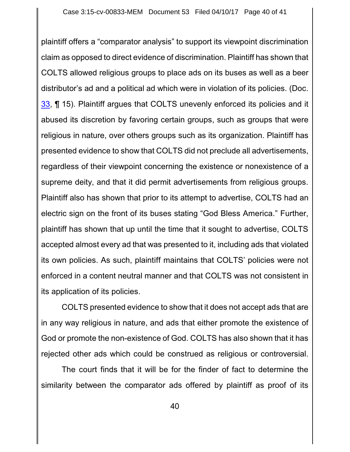plaintiff offers a "comparator analysis" to support its viewpoint discrimination claim as opposed to direct evidence of discrimination. Plaintiff has shown that COLTS allowed religious groups to place ads on its buses as well as a beer distributor's ad and a political ad which were in violation of its policies. (Doc. [33](http://ecf.pamd.uscourts.gov/doc1/15505558178), ¶ 15). Plaintiff argues that COLTS unevenly enforced its policies and it abused its discretion by favoring certain groups, such as groups that were religious in nature, over others groups such as its organization. Plaintiff has presented evidence to show that COLTS did not preclude all advertisements, regardless of their viewpoint concerning the existence or nonexistence of a supreme deity, and that it did permit advertisements from religious groups. Plaintiff also has shown that prior to its attempt to advertise, COLTS had an electric sign on the front of its buses stating "God Bless America." Further, plaintiff has shown that up until the time that it sought to advertise, COLTS accepted almost every ad that was presented to it, including ads that violated its own policies. As such, plaintiff maintains that COLTS' policies were not enforced in a content neutral manner and that COLTS was not consistent in its application of its policies.

COLTS presented evidence to show that it does not accept ads that are in any way religious in nature, and ads that either promote the existence of God or promote the non-existence of God. COLTS has also shown that it has rejected other ads which could be construed as religious or controversial.

The court finds that it will be for the finder of fact to determine the similarity between the comparator ads offered by plaintiff as proof of its